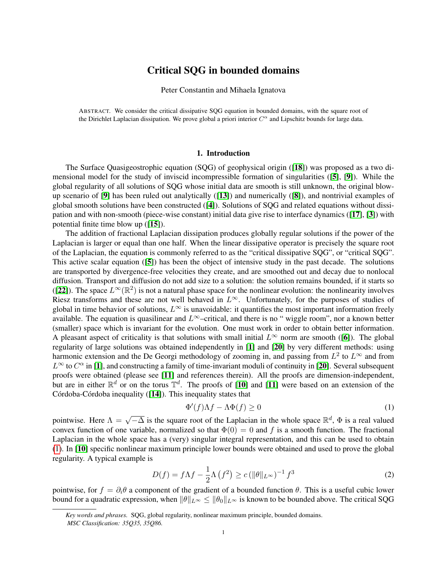# Critical SQG in bounded domains

Peter Constantin and Mihaela Ignatova

ABSTRACT. We consider the critical dissipative SQG equation in bounded domains, with the square root of the Dirichlet Laplacian dissipation. We prove global a priori interior  $C^{\alpha}$  and Lipschitz bounds for large data.

### 1. Introduction

The Surface Quasigeostrophic equation (SQG) of geophysical origin ([[18](#page-27-0)]) was proposed as a two dimensional model for the study of inviscid incompressible formation of singularities ([[5](#page-27-1)], [[9](#page-27-2)]). While the global regularity of all solutions of SQG whose initial data are smooth is still unknown, the original blowup scenario of  $[9]$  $[9]$  $[9]$  has been ruled out analytically  $([13])$  $([13])$  $([13])$  and numerically  $([8])$  $([8])$  $([8])$ , and nontrivial examples of global smooth solutions have been constructed  $([4])$  $([4])$  $([4])$ . Solutions of SQG and related equations without dissipation and with non-smooth (piece-wise constant) initial data give rise to interface dynamics ([[17](#page-27-6)], [[3](#page-27-7)]) with potential finite time blow up ([[15](#page-27-8)]).

The addition of fractional Laplacian dissipation produces globally regular solutions if the power of the Laplacian is larger or equal than one half. When the linear dissipative operator is precisely the square root of the Laplacian, the equation is commonly referred to as the "critical dissipative SQG", or "critical SQG". This active scalar equation ([[5](#page-27-1)]) has been the object of intensive study in the past decade. The solutions are transported by divergence-free velocities they create, and are smoothed out and decay due to nonlocal diffusion. Transport and diffusion do not add size to a solution: the solution remains bounded, if it starts so ([[22](#page-27-9)]). The space  $L^{\infty}(\mathbb{R}^2)$  is not a natural phase space for the nonlinear evolution: the nonlinearity involves Riesz transforms and these are not well behaved in  $L^{\infty}$ . Unfortunately, for the purposes of studies of global in time behavior of solutions,  $L^{\infty}$  is unavoidable: it quantifies the most important information freely available. The equation is quasilinear and  $L^{\infty}$ –critical, and there is no " wiggle room", nor a known better (smaller) space which is invariant for the evolution. One must work in order to obtain better information. A pleasant aspect of criticality is that solutions with small initial  $L^{\infty}$  norm are smooth ([[6](#page-27-10)]). The global regularity of large solutions was obtained independently in [[1](#page-27-11)] and [[20](#page-27-12)] by very different methods: using harmonic extension and the De Georgi methodology of zooming in, and passing from  $L^2$  to  $L^{\infty}$  and from  $L^{\infty}$  to  $C^{\alpha}$  in [[1](#page-27-11)], and constructing a family of time-invariant moduli of continuity in [[20](#page-27-12)]. Several subsequent proofs were obtained (please see [[11](#page-27-13)] and references therein). All the proofs are dimension-independent, but are in either  $\mathbb{R}^d$  or on the torus  $\mathbb{T}^d$ . The proofs of [[10](#page-27-14)] and [[11](#page-27-13)] were based on an extension of the Córdoba-Córdoba inequality  $([14])$  $([14])$  $([14])$ . This inequality states that

<span id="page-0-0"></span>
$$
\Phi'(f)\Lambda f - \Lambda \Phi(f) \ge 0\tag{1}
$$

pointwise. Here  $\Lambda = \sqrt{-\Delta}$  is the square root of the Laplacian in the whole space  $\mathbb{R}^d$ ,  $\Phi$  is a real valued convex function of one variable, normalized so that  $\Phi(0) = 0$  and f is a smooth function. The fractional Laplacian in the whole space has a (very) singular integral representation, and this can be used to obtain [\(1\)](#page-0-0). In [[10](#page-27-14)] specific nonlinear maximum principle lower bounds were obtained and used to prove the global regularity. A typical example is

<span id="page-0-1"></span>
$$
D(f) = f\Lambda f - \frac{1}{2}\Lambda \left(f^2\right) \ge c \left(\|\theta\|_{L^\infty}\right)^{-1} f^3 \tag{2}
$$

pointwise, for  $f = \partial_i \theta$  a component of the gradient of a bounded function  $\theta$ . This is a useful cubic lower bound for a quadratic expression, when  $\|\theta\|_{L^{\infty}} \le \|\theta_0\|_{L^{\infty}}$  is known to be bounded above. The critical SQG

*Key words and phrases.* SQG, global regularity, nonlinear maximum principle, bounded domains. *MSC Classification: 35Q35, 35Q86.*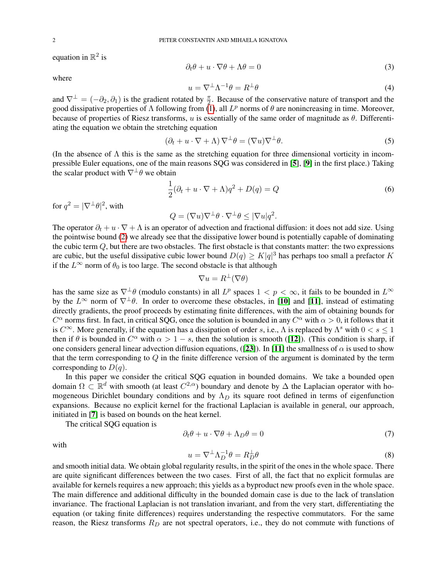equation in  $\mathbb{R}^2$  is

$$
\partial_t \theta + u \cdot \nabla \theta + \Lambda \theta = 0 \tag{3}
$$

where

$$
u = \nabla^{\perp} \Lambda^{-1} \theta = R^{\perp} \theta \tag{4}
$$

and  $\nabla^{\perp} = (-\partial_2, \partial_1)$  is the gradient rotated by  $\frac{\pi}{2}$ . Because of the conservative nature of transport and the good dissipative properties of  $\Lambda$  following from [\(1\)](#page-0-0), all  $L^p$  norms of  $\theta$  are nonincreasing in time. Moreover, because of properties of Riesz transforms, u is essentially of the same order of magnitude as  $\theta$ . Differentiating the equation we obtain the stretching equation

$$
(\partial_t + u \cdot \nabla + \Lambda) \nabla^{\perp} \theta = (\nabla u) \nabla^{\perp} \theta.
$$
 (5)

(In the absence of  $\Lambda$  this is the same as the stretching equation for three dimensional vorticity in incompressible Euler equations, one of the main reasons SQG was considered in [[5](#page-27-1)], [[9](#page-27-2)] in the first place.) Taking the scalar product with  $\nabla^{\perp} \theta$  we obtain

$$
\frac{1}{2}(\partial_t + u \cdot \nabla + \Lambda)q^2 + D(q) = Q
$$
\n(6)

for  $q^2 = |\nabla^{\perp} \theta|^2$ , with

$$
Q = (\nabla u) \nabla^{\perp} \theta \cdot \nabla^{\perp} \theta \leq |\nabla u| q^2.
$$

The operator  $\partial_t + u \cdot \nabla + \Lambda$  is an operator of advection and fractional diffusion: it does not add size. Using the pointwise bound [\(2\)](#page-0-1) we already see that the dissipative lower bound is potentially capable of dominating the cubic term Q, but there are two obstacles. The first obstacle is that constants matter: the two expressions are cubic, but the useful dissipative cubic lower bound  $D(q) \geq K|q|^3$  has perhaps too small a prefactor K if the  $L^{\infty}$  norm of  $\theta_0$  is too large. The second obstacle is that although

$$
\nabla u = R^{\perp}(\nabla \theta)
$$

has the same size as  $\nabla^{\perp}\theta$  (modulo constants) in all  $L^p$  spaces  $1 < p < \infty$ , it fails to be bounded in  $L^{\infty}$ by the  $L^{\infty}$  norm of  $\nabla^{\perp}\theta$ . In order to overcome these obstacles, in [[10](#page-27-14)] and [[11](#page-27-13)], instead of estimating directly gradients, the proof proceeds by estimating finite differences, with the aim of obtaining bounds for  $C^{\alpha}$  norms first. In fact, in critical SQG, once the solution is bounded in any  $C^{\alpha}$  with  $\alpha > 0$ , it follows that it is  $C^{\infty}$ . More generally, if the equation has a dissipation of order s, i.e.,  $\Lambda$  is replaced by  $\Lambda^s$  with  $0 < s \leq 1$ then if  $\theta$  is bounded in  $C^{\alpha}$  with  $\alpha > 1 - s$ , then the solution is smooth ([[12](#page-27-16)]). (This condition is sharp, if one considers general linear advection diffusion equations, ([[23](#page-28-0)]). In [[11](#page-27-13)] the smallness of  $\alpha$  is used to show that the term corresponding to  $Q$  in the finite difference version of the argument is dominated by the term corresponding to  $D(q)$ .

In this paper we consider the critical SQG equation in bounded domains. We take a bounded open domain  $\Omega \subset \mathbb{R}^d$  with smooth (at least  $C^{2,\alpha}$ ) boundary and denote by  $\Delta$  the Laplacian operator with homogeneous Dirichlet boundary conditions and by  $\Lambda_D$  its square root defined in terms of eigenfunction expansions. Because no explicit kernel for the fractional Laplacian is available in general, our approach, initiated in [[7](#page-27-17)] is based on bounds on the heat kernel.

The critical SQG equation is

<span id="page-1-0"></span>
$$
\partial_t \theta + u \cdot \nabla \theta + \Lambda_D \theta = 0 \tag{7}
$$

with

<span id="page-1-1"></span>
$$
u = \nabla^{\perp} \Lambda_D^{-1} \theta = R_D^{\perp} \theta \tag{8}
$$

and smooth initial data. We obtain global regularity results, in the spirit of the ones in the whole space. There are quite significant differences between the two cases. First of all, the fact that no explicit formulas are available for kernels requires a new approach; this yields as a byproduct new proofs even in the whole space. The main difference and additional difficulty in the bounded domain case is due to the lack of translation invariance. The fractional Laplacian is not translation invariant, and from the very start, differentiating the equation (or taking finite differences) requires understanding the respective commutators. For the same reason, the Riesz transforms  $R_D$  are not spectral operators, i.e., they do not commute with functions of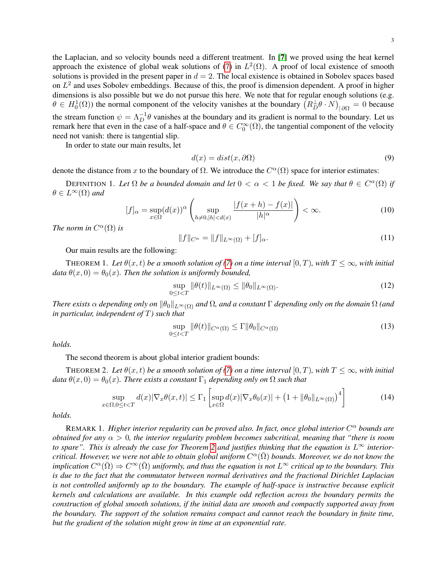the Laplacian, and so velocity bounds need a different treatment. In [[7](#page-27-17)] we proved using the heat kernel approach the existence of global weak solutions of [\(7\)](#page-1-0) in  $L^2(\Omega)$ . A proof of local existence of smooth solutions is provided in the present paper in  $d = 2$ . The local existence is obtained in Sobolev spaces based on  $L^2$  and uses Sobolev embeddings. Because of this, the proof is dimension dependent. A proof in higher dimensions is also possible but we do not pursue this here. We note that for regular enough solutions (e.g.  $\theta \in H_0^1(\Omega)$ ) the normal component of the velocity vanishes at the boundary  $(R_D^{\perp} \theta \cdot N)_{|\partial \Omega} = 0$  because the stream function  $\psi = \Lambda_D^{-1} \theta$  vanishes at the boundary and its gradient is normal to the boundary. Let us remark here that even in the case of a half-space and  $\theta \in C_0^{\infty}(\Omega)$ , the tangential component of the velocity need not vanish: there is tangential slip.

In order to state our main results, let

$$
d(x) = dist(x, \partial \Omega) \tag{9}
$$

denote the distance from x to the boundary of  $\Omega$ . We introduce the  $C^{\alpha}(\Omega)$  space for interior estimates:

DEFINITION 1. Let  $\Omega$  be a bounded domain and let  $0 < \alpha < 1$  be fixed. We say that  $\theta \in C^{\alpha}(\Omega)$  if  $\theta \in L^{\infty}(\Omega)$  and

$$
[f]_{\alpha} = \sup_{x \in \Omega} (d(x))^{\alpha} \left( \sup_{h \neq 0, |h| < d(x)} \frac{|f(x+h) - f(x)|}{|h|^{\alpha}} \right) < \infty. \tag{10}
$$

*The norm in*  $C^{\alpha}(\Omega)$  *is* 

$$
||f||_{C^{\alpha}} = ||f||_{L^{\infty}(\Omega)} + [f]_{\alpha}.
$$
\n(11)

Our main results are the following:

<span id="page-2-1"></span>THEOREM 1. Let  $\theta(x, t)$  be a smooth solution of [\(7\)](#page-1-0) on a time interval  $[0, T)$ , with  $T \leq \infty$ , with initial *data*  $\theta(x, 0) = \theta_0(x)$ *. Then the solution is uniformly bounded,* 

$$
\sup_{0 \le t < T} \|\theta(t)\|_{L^\infty(\Omega)} \le \|\theta_0\|_{L^\infty(\Omega)}.\tag{12}
$$

*There exists*  $\alpha$  *depending only on*  $\|\theta_0\|_{L^{\infty}(\Omega)}$  *and*  $\Omega$ *, and a constant*  $\Gamma$  *depending only on the domain*  $\Omega$  *(and in particular, independent of* T*) such that*

$$
\sup_{0 \le t < T} \|\theta(t)\|_{C^{\alpha}(\Omega)} \le \Gamma \|\theta_0\|_{C^{\alpha}(\Omega)} \tag{13}
$$

*holds.*

The second theorem is about global interior gradient bounds:

<span id="page-2-0"></span>THEOREM 2. Let  $\theta(x, t)$  be a smooth solution of [\(7\)](#page-1-0) on a time interval  $[0, T)$ , with  $T \leq \infty$ , with initial  $data \theta(x,0) = \theta_0(x)$ *. There exists a constant*  $\Gamma_1$  *depending only on*  $\Omega$  *such that* 

$$
\sup_{x \in \Omega, 0 \le t < T} d(x) |\nabla_x \theta(x, t)| \le \Gamma_1 \left[ \sup_{x \in \Omega} d(x) |\nabla_x \theta_0(x)| + \left( 1 + \|\theta_0\|_{L^\infty(\Omega)} \right)^4 \right] \tag{14}
$$

*holds.*

REMARK 1. *Higher interior regularity can be proved also. In fact, once global interior C<sup>α</sup> bounds are obtained for any*  $\alpha > 0$ , the interior regularity problem becomes subcritical, meaning that "there is room *to spare". This is already the case for Theorem [2](#page-2-0) and justifies thinking that the equation is*  $L^{\infty}$  *interiorcritical. However, we were not able to obtain global uniform*  $C^{\alpha}(\bar{\Omega})$  *bounds. Moreover, we do not know the implication*  $C^{\alpha}(\bar{\Omega}) \Rightarrow C^{\infty}(\bar{\Omega})$  uniformly, and thus the equation is not  $L^{\infty}$  critical up to the boundary. This *is due to the fact that the commutator between normal derivatives and the fractional Dirichlet Laplacian is not controlled uniformly up to the boundary. The example of half-space is instructive because explicit kernels and calculations are available. In this example odd reflection across the boundary permits the construction of global smooth solutions, if the initial data are smooth and compactly supported away from the boundary. The support of the solution remains compact and cannot reach the boundary in finite time, but the gradient of the solution might grow in time at an exponential rate.*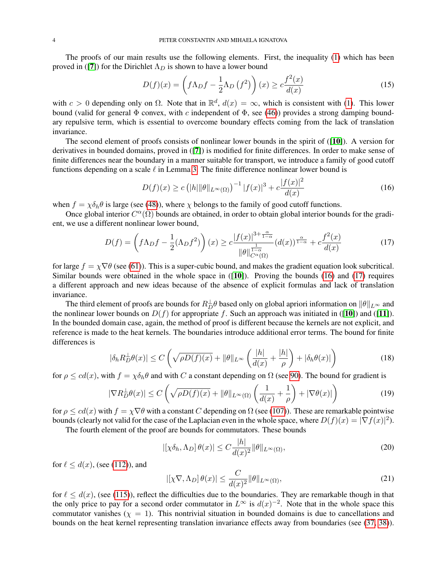The proofs of our main results use the following elements. First, the inequality [\(1\)](#page-0-0) which has been proved in ([[7](#page-27-17)]) for the Dirichlet  $\Lambda_D$  is shown to have a lower bound

$$
D(f)(x) = \left(f\Lambda_D f - \frac{1}{2}\Lambda_D(f^2)\right)(x) \ge c\frac{f^2(x)}{d(x)}
$$
\n(15)

with  $c > 0$  depending only on  $\Omega$ . Note that in  $\mathbb{R}^d$ ,  $d(x) = \infty$ , which is consistent with [\(1\)](#page-0-0). This lower bound (valid for general  $\Phi$  convex, with c independent of  $\Phi$ , see [\(46\)](#page-8-0)) provides a strong damping boundary repulsive term, which is essential to overcome boundary effects coming from the lack of translation invariance.

The second element of proofs consists of nonlinear lower bounds in the spirit of  $([10])$  $([10])$  $([10])$ . A version for derivatives in bounded domains, proved in ([[7](#page-27-17)]) is modified for finite differences. In order to make sense of finite differences near the boundary in a manner suitable for transport, we introduce a family of good cutoff functions depending on a scale  $\ell$  in Lemma [3.](#page-7-0) The finite difference nonlinear lower bound is

<span id="page-3-0"></span>
$$
D(f)(x) \ge c \left( |h| \|\theta\|_{L^{\infty}(\Omega)} \right)^{-1} |f(x)|^3 + c \frac{|f(x)|^2}{d(x)}
$$
(16)

when  $f = \chi \delta_h \theta$  is large (see [\(48\)](#page-9-0)), where  $\chi$  belongs to the family of good cutoff functions.

Once global interior  $C^{\alpha}(\Omega)$  bounds are obtained, in order to obtain global interior bounds for the gradient, we use a different nonlinear lower bound,

<span id="page-3-1"></span>
$$
D(f) = \left(f\Lambda_D f - \frac{1}{2}(\Lambda_D f^2)\right)(x) \ge c \frac{|f(x)|^{3+\frac{\alpha}{1-\alpha}}}{\|\theta\|_{C^{\alpha}(\Omega)}^{\frac{1}{1-\alpha}}} (d(x))^{\frac{\alpha}{1-\alpha}} + c \frac{f^2(x)}{d(x)}
$$
(17)

for large  $f = \chi \nabla \theta$  (see [\(61\)](#page-11-0)). This is a super-cubic bound, and makes the gradient equation look subcritical. Similar bounds were obtained in the whole space in  $([10])$  $([10])$  $([10])$ . Proving the bounds  $(16)$  and  $(17)$  requires a different approach and new ideas because of the absence of explicit formulas and lack of translation invariance.

The third element of proofs are bounds for  $R_D^{\perp}\theta$  based only on global apriori information on  $\|\theta\|_{L^{\infty}}$  and the nonlinear lower bounds on  $D(f)$  for appropriate f. Such an approach was initiated in ([[10](#page-27-14)]) and ([[11](#page-27-13)]). In the bounded domain case, again, the method of proof is different because the kernels are not explicit, and reference is made to the heat kernels. The boundaries introduce additional error terms. The bound for finite differences is

$$
|\delta_h R_D^{\perp}\theta(x)| \le C\left(\sqrt{\rho D(f)(x)} + \|\theta\|_{L^{\infty}} \left(\frac{|h|}{d(x)} + \frac{|h|}{\rho}\right) + |\delta_h \theta(x)|\right) \tag{18}
$$

for  $\rho \leq cd(x)$ , with  $f = \chi \delta_h \theta$  and with C a constant depending on  $\Omega$  (see [90\)](#page-15-0). The bound for gradient is

$$
|\nabla R_D^{\perp}\theta(x)| \le C\left(\sqrt{\rho D(f)(x)} + \|\theta\|_{L^{\infty}(\Omega)}\left(\frac{1}{d(x)} + \frac{1}{\rho}\right) + |\nabla\theta(x)|\right)
$$
(19)

for  $\rho \leq cd(x)$  with  $f = \chi \nabla \theta$  with a constant C depending on  $\Omega$  (see [\(107\)](#page-16-0)). These are remarkable pointwise bounds (clearly not valid for the case of the Laplacian even in the whole space, where  $D(f)(x) = |\nabla f(x)|^2$ ).

The fourth element of the proof are bounds for commutators. These bounds

$$
\left| \left[ \chi \delta_h, \Lambda_D \right] \theta(x) \right| \le C \frac{|h|}{d(x)^2} ||\theta||_{L^\infty(\Omega)},\tag{20}
$$

for  $\ell \leq d(x)$ , (see [\(112\)](#page-16-1)), and

$$
\left| \left[ \chi \nabla, \Lambda_D \right] \theta(x) \right| \le \frac{C}{d(x)^2} \|\theta\|_{L^\infty(\Omega)},\tag{21}
$$

for  $\ell < d(x)$ , (see [\(115\)](#page-17-0)), reflect the difficulties due to the boundaries. They are remarkable though in that the only price to pay for a second order commutator in  $L^{\infty}$  is  $d(x)^{-2}$ . Note that in the whole space this commutator vanishes ( $\chi = 1$ ). This nontrivial situation in bounded domains is due to cancellations and bounds on the heat kernel representing translation invariance effects away from boundaries (see [\(37,](#page-5-0) [38\)](#page-5-1)).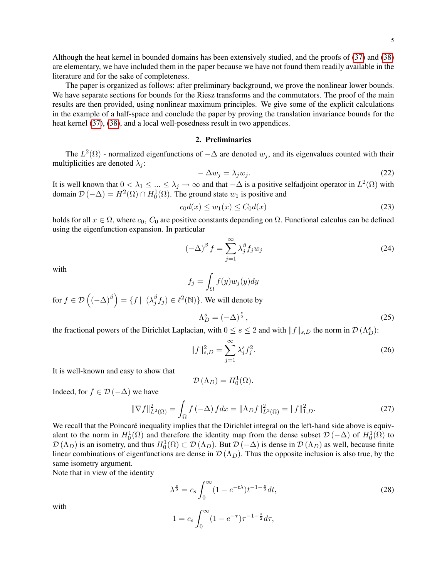Although the heat kernel in bounded domains has been extensively studied, and the proofs of [\(37\)](#page-5-0) and [\(38\)](#page-5-1) are elementary, we have included them in the paper because we have not found them readily available in the literature and for the sake of completeness.

The paper is organized as follows: after preliminary background, we prove the nonlinear lower bounds. We have separate sections for bounds for the Riesz transforms and the commutators. The proof of the main results are then provided, using nonlinear maximum principles. We give some of the explicit calculations in the example of a half-space and conclude the paper by proving the translation invariance bounds for the heat kernel [\(37\)](#page-5-0), [\(38\)](#page-5-1), and a local well-posedness result in two appendices.

### 2. Preliminaries

The  $L^2(\Omega)$  - normalized eigenfunctions of  $-\Delta$  are denoted  $w_j$ , and its eigenvalues counted with their multiplicities are denoted  $\lambda_i$ :

$$
-\Delta w_j = \lambda_j w_j. \tag{22}
$$

It is well known that  $0 < \lambda_1 \leq ... \leq \lambda_j \to \infty$  and that  $-\Delta$  is a positive selfadjoint operator in  $L^2(\Omega)$  with domain  $\mathcal{D}(-\Delta) = H^2(\Omega) \cap H_0^1(\Omega)$ . The ground state  $w_1$  is positive and

<span id="page-4-0"></span>
$$
c_0 d(x) \le w_1(x) \le C_0 d(x) \tag{23}
$$

holds for all  $x \in \Omega$ , where  $c_0$ ,  $C_0$  are positive constants depending on  $\Omega$ . Functional calculus can be defined using the eigenfunction expansion. In particular

$$
(-\Delta)^{\beta} f = \sum_{j=1}^{\infty} \lambda_j^{\beta} f_j w_j
$$
 (24)

with

$$
f_j = \int_{\Omega} f(y) w_j(y) dy
$$

for  $f \in \mathcal{D}\left((-\Delta)^{\beta}\right) = \{f \mid (\lambda_i^{\beta})$  $\hat{f}_j^{\beta} f_j) \in \ell^2(\mathbb{N})\}$ . We will denote by s

$$
\Lambda_D^s = (-\Delta)^{\frac{s}{2}},\tag{25}
$$

the fractional powers of the Dirichlet Laplacian, with  $0 \le s \le 2$  and with  $||f||_{s,D}$  the norm in  $\mathcal{D}(\Lambda_D^s)$ :

$$
||f||_{s,D}^{2} = \sum_{j=1}^{\infty} \lambda_{j}^{s} f_{j}^{2}.
$$
 (26)

It is well-known and easy to show that

$$
\mathcal{D}\left(\Lambda_{D}\right) = H_{0}^{1}(\Omega).
$$

Indeed, for  $f \in \mathcal{D}(-\Delta)$  we have

<span id="page-4-1"></span>
$$
\|\nabla f\|_{L^2(\Omega)}^2 = \int_{\Omega} f(-\Delta) f dx = \|\Lambda_D f\|_{L^2(\Omega)}^2 = \|f\|_{1,D}^2.
$$
 (27)

We recall that the Poincaré inequality implies that the Dirichlet integral on the left-hand side above is equivalent to the norm in  $H_0^1(\Omega)$  and therefore the identity map from the dense subset  $\mathcal{D}(-\Delta)$  of  $H_0^1(\Omega)$  to  $\mathcal{D}(\Lambda_D)$  is an isometry, and thus  $H_0^1(\Omega) \subset \mathcal{D}(\Lambda_D)$ . But  $\mathcal{D}(-\Delta)$  is dense in  $\mathcal{D}(\Lambda_D)$  as well, because finite linear combinations of eigenfunctions are dense in  $\mathcal{D}(\Lambda_D)$ . Thus the opposite inclusion is also true, by the same isometry argument.

Note that in view of the identity

$$
\lambda^{\frac{s}{2}} = c_s \int_0^\infty (1 - e^{-t\lambda}) t^{-1 - \frac{s}{2}} dt,
$$
  
\n
$$
1 = c_s \int_0^\infty (1 - e^{-\tau}) \tau^{-1 - \frac{s}{2}} d\tau,
$$
\n(28)

with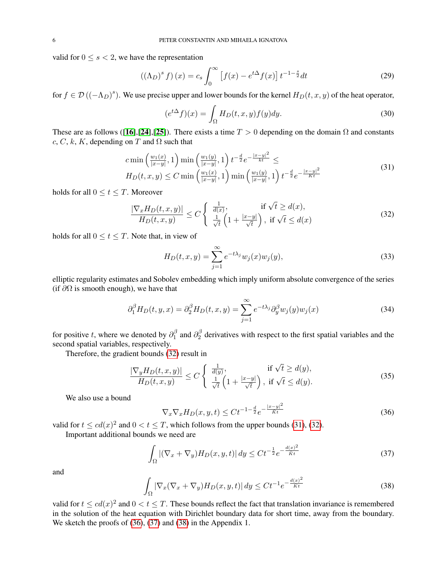valid for  $0 \leq s < 2$ , we have the representation

<span id="page-5-6"></span>
$$
((\Lambda_D)^s f)(x) = c_s \int_0^\infty \left[ f(x) - e^{t\Delta} f(x) \right] t^{-1-\frac{s}{2}} dt \tag{29}
$$

for  $f \in \mathcal{D}((-\Lambda_D)^s)$ . We use precise upper and lower bounds for the kernel  $H_D(t, x, y)$  of the heat operator,

$$
(e^{t\Delta}f)(x) = \int_{\Omega} H_D(t, x, y) f(y) dy.
$$
\n(30)

These are as follows ([[16](#page-27-18)],[[24](#page-28-1)],[[25](#page-28-2)]). There exists a time  $T > 0$  depending on the domain  $\Omega$  and constants c, C, k, K, depending on T and  $\Omega$  such that

<span id="page-5-3"></span>
$$
c \min\left(\frac{w_1(x)}{|x-y|}, 1\right) \min\left(\frac{w_1(y)}{|x-y|}, 1\right) t^{-\frac{d}{2}} e^{-\frac{|x-y|^2}{kt}} \le
$$
  
\n
$$
H_D(t, x, y) \le C \min\left(\frac{w_1(x)}{|x-y|}, 1\right) \min\left(\frac{w_1(y)}{|x-y|}, 1\right) t^{-\frac{d}{2}} e^{-\frac{|x-y|^2}{Kt}}
$$
\n(31)

holds for all  $0 \le t \le T$ . Moreover

<span id="page-5-2"></span>
$$
\frac{|\nabla_x H_D(t, x, y)|}{H_D(t, x, y)} \le C \begin{cases} \frac{1}{d(x)}, & \text{if } \sqrt{t} \ge d(x),\\ \frac{1}{\sqrt{t}} \left(1 + \frac{|x - y|}{\sqrt{t}}\right), & \text{if } \sqrt{t} \le d(x) \end{cases}
$$
\n(32)

holds for all  $0 \le t \le T$ . Note that, in view of

$$
H_D(t, x, y) = \sum_{j=1}^{\infty} e^{-t\lambda_j} w_j(x) w_j(y),
$$
\n(33)

elliptic regularity estimates and Sobolev embedding which imply uniform absolute convergence of the series (if  $\partial\Omega$  is smooth enough), we have that

$$
\partial_1^{\beta} H_D(t, y, x) = \partial_2^{\beta} H_D(t, x, y) = \sum_{j=1}^{\infty} e^{-t\lambda_j} \partial_y^{\beta} w_j(y) w_j(x)
$$
(34)

for positive t, where we denoted by  $\partial_1^{\beta}$  $\frac{\beta}{1}$  and  $\partial_2^{\beta}$  $\frac{1}{2}$  derivatives with respect to the first spatial variables and the second spatial variables, respectively.

Therefore, the gradient bounds [\(32\)](#page-5-2) result in

<span id="page-5-5"></span>
$$
\frac{|\nabla_y H_D(t, x, y)|}{H_D(t, x, y)} \le C \begin{cases} \frac{1}{d(y)}, & \text{if } \sqrt{t} \ge d(y),\\ \frac{1}{\sqrt{t}} \left(1 + \frac{|x - y|}{\sqrt{t}}\right), & \text{if } \sqrt{t} \le d(y). \end{cases}
$$
\n(35)

We also use a bound

<span id="page-5-4"></span>
$$
\nabla_x \nabla_x H_D(x, y, t) \le C t^{-1 - \frac{d}{2}} e^{-\frac{|x - y|^2}{\tilde{K}t}} \tag{36}
$$

valid for  $t \leq c d(x)^2$  and  $0 < t \leq T$ , which follows from the upper bounds [\(31\)](#page-5-3), [\(32\)](#page-5-2).

Important additional bounds we need are

<span id="page-5-0"></span>
$$
\int_{\Omega} |(\nabla_x + \nabla_y) H_D(x, y, t)| dy \le Ct^{-\frac{1}{2}} e^{-\frac{d(x)^2}{Kt}} \tag{37}
$$

and

<span id="page-5-1"></span>
$$
\int_{\Omega} |\nabla_x (\nabla_x + \nabla_y) H_D(x, y, t)| dy \le Ct^{-1} e^{-\frac{d(x)^2}{\tilde{K}t}}
$$
\n(38)

valid for  $t \leq c d(x)^2$  and  $0 < t \leq T$ . These bounds reflect the fact that translation invariance is remembered in the solution of the heat equation with Dirichlet boundary data for short time, away from the boundary. We sketch the proofs of [\(36\)](#page-5-4), [\(37\)](#page-5-0) and [\(38\)](#page-5-1) in the Appendix 1.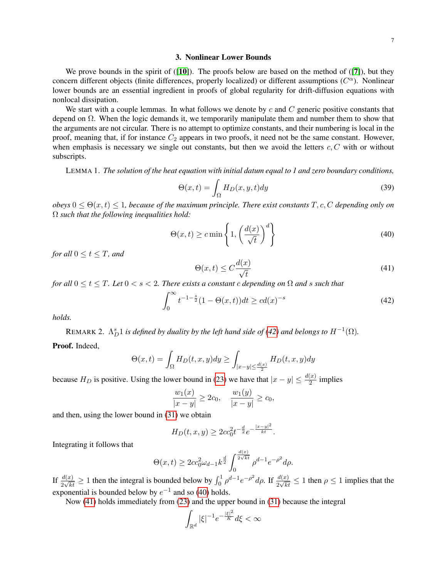#### 3. Nonlinear Lower Bounds

We prove bounds in the spirit of ([[10](#page-27-14)]). The proofs below are based on the method of ([[7](#page-27-17)]), but they concern different objects (finite differences, properly localized) or different assumptions  $(C^{\alpha})$ . Nonlinear lower bounds are an essential ingredient in proofs of global regularity for drift-diffusion equations with nonlocal dissipation.

We start with a couple lemmas. In what follows we denote by c and  $C$  generic positive constants that depend on  $\Omega$ . When the logic demands it, we temporarily manipulate them and number them to show that the arguments are not circular. There is no attempt to optimize constants, and their numbering is local in the proof, meaning that, if for instance  $C_2$  appears in two proofs, it need not be the same constant. However, when emphasis is necessary we single out constants, but then we avoid the letters  $c, C$  with or without subscripts.

LEMMA 1. *The solution of the heat equation with initial datum equal to 1 and zero boundary conditions,*

$$
\Theta(x,t) = \int_{\Omega} H_D(x,y,t) dy
$$
\n(39)

 $obeys 0 \leq \Theta(x,t) \leq 1$ , because of the maximum principle. There exist constants  $T, c, C$  depending only on Ω *such that the following inequalities hold:*

<span id="page-6-1"></span>
$$
\Theta(x,t) \geq c \min\left\{1, \left(\frac{d(x)}{\sqrt{t}}\right)^d\right\} \tag{40}
$$

*for all*  $0 \le t \le T$ *, and* 

<span id="page-6-2"></span>
$$
\Theta(x,t) \le C \frac{d(x)}{\sqrt{t}}\tag{41}
$$

*for all*  $0 \le t \le T$ *. Let*  $0 < s < 2$ *. There exists a constant c depending on*  $\Omega$  *and* s *such that* 

<span id="page-6-0"></span>
$$
\int_0^\infty t^{-1-\frac{s}{2}} (1 - \Theta(x, t)) dt \ge c d(x)^{-s}
$$
 (42)

*holds.*

REMARK 2.  $\Lambda_D^s 1$  is defined by duality by the left hand side of [\(42\)](#page-6-0) and belongs to  $H^{-1}(\Omega)$ .

Proof. Indeed,

$$
\Theta(x,t) = \int_{\Omega} H_D(t,x,y) dy \ge \int_{|x-y| \le \frac{d(x)}{2}} H_D(t,x,y) dy
$$

because  $H_D$  is positive. Using the lower bound in [\(23\)](#page-4-0) we have that  $|x - y| \le \frac{d(x)}{2}$  implies

$$
\frac{w_1(x)}{|x-y|} \ge 2c_0, \quad \frac{w_1(y)}{|x-y|} \ge c_0,
$$

and then, using the lower bound in [\(31\)](#page-5-3) we obtain

$$
H_D(t, x, y) \ge 2cc_0^2 t^{-\frac{d}{2}} e^{-\frac{|x-y|^2}{kt}}.
$$

Integrating it follows that

$$
\Theta(x,t) \ge 2cc_0^2 \omega_{d-1} k^{\frac{d}{2}} \int_0^{\frac{d(x)}{2\sqrt{kt}}} \rho^{d-1} e^{-\rho^2} d\rho.
$$

If  $\frac{d(x)}{2\sqrt{kt}} \ge 1$  then the integral is bounded below by  $\int_0^1 \rho^{d-1} e^{-\rho^2} d\rho$ . If  $\frac{d(x)}{2\sqrt{kt}} \le 1$  then  $\rho \le 1$  implies that the exponential is bounded below by  $e^{-1}$  and so [\(40\)](#page-6-1) holds.

Now [\(41\)](#page-6-2) holds immediately from [\(23\)](#page-4-0) and the upper bound in [\(31\)](#page-5-3) because the integral

$$
\int_{\mathbb{R}^d} |\xi|^{-1} e^{-\frac{|\xi|^2}{K}} d\xi < \infty
$$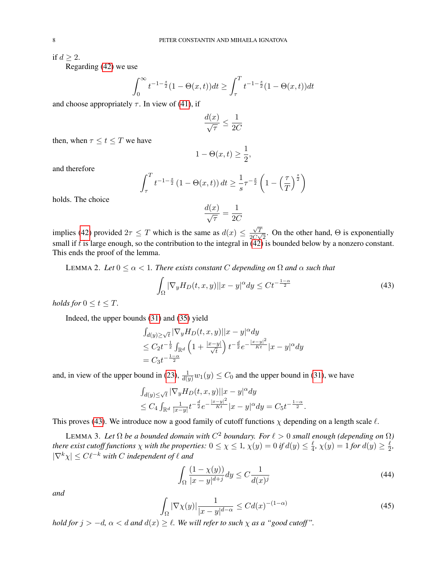if  $d > 2$ .

Regarding [\(42\)](#page-6-0) we use

$$
\int_0^{\infty} t^{-1-\frac{s}{2}} (1 - \Theta(x, t)) dt \ge \int_{\tau}^{T} t^{-1-\frac{s}{2}} (1 - \Theta(x, t)) dt
$$

and choose appropriately  $\tau$ . In view of [\(41\)](#page-6-2), if

$$
\frac{d(x)}{\sqrt{\tau}} \le \frac{1}{2C}
$$

then, when  $\tau \leq t \leq T$  we have

$$
1 - \Theta(x, t) \ge \frac{1}{2},
$$

and therefore

$$
\int_{\tau}^{T} t^{-1-\frac{s}{2}} \left(1 - \Theta(x, t)\right) dt \geq \frac{1}{s} \tau^{-\frac{s}{2}} \left(1 - \left(\frac{\tau}{T}\right)^{\frac{s}{2}}\right)
$$

holds. The choice

$$
\frac{d(x)}{\sqrt{\tau}} = \frac{1}{2C}
$$

implies [\(42\)](#page-6-0) provided  $2\tau \leq T$  which is the same as  $d(x) \leq$  $\sqrt{T}$  $\frac{\sqrt{T}}{2C\sqrt{2}}$ . On the other hand,  $\Theta$  is exponentially small if t is large enough, so the contribution to the integral in  $(42)$  is bounded below by a nonzero constant. This ends the proof of the lemma.

LEMMA 2. Let  $0 \leq \alpha < 1$ . There exists constant C depending on  $\Omega$  and  $\alpha$  such that

<span id="page-7-1"></span>
$$
\int_{\Omega} |\nabla_y H_D(t, x, y)||x - y|^{\alpha} dy \le Ct^{-\frac{1-\alpha}{2}} \tag{43}
$$

*holds for*  $0 \le t \le T$ *.* 

Indeed, the upper bounds [\(31\)](#page-5-3) and [\(35\)](#page-5-5) yield

$$
\int_{d(y)\geq \sqrt{t}} |\nabla_y H_D(t, x, y)||x - y|^{\alpha} dy
$$
  
\n
$$
\leq C_2 t^{-\frac{1}{2}} \int_{\mathbb{R}^d} \left(1 + \frac{|x - y|}{\sqrt{t}}\right) t^{-\frac{d}{2}} e^{-\frac{|x - y|^2}{Kt}} |x - y|^{\alpha} dy
$$
  
\n
$$
= C_3 t^{-\frac{1 - \alpha}{2}}
$$

and, in view of the upper bound in [\(23\)](#page-4-0),  $\frac{1}{d(y)}w_1(y) \leq C_0$  and the upper bound in [\(31\)](#page-5-3), we have

$$
\int_{d(y)\le \sqrt{t}} |\nabla_y H_D(t, x, y)||x - y|^{\alpha} dy
$$
  
\n
$$
\le C_4 \int_{\mathbb{R}^d} \frac{1}{|x - y|} t^{-\frac{d}{2}} e^{-\frac{|x - y|^2}{Kt}} |x - y|^{\alpha} dy = C_5 t^{-\frac{1 - \alpha}{2}}.
$$

This proves [\(43\)](#page-7-1). We introduce now a good family of cutoff functions  $\chi$  depending on a length scale  $\ell$ .

<span id="page-7-0"></span>LEMMA 3. Let  $\Omega$  be a bounded domain with  $C^2$  boundary. For  $\ell > 0$  small enough (depending on  $\Omega$ ) *there exist cutoff functions*  $\chi$  *with the properties:*  $0 \leq \chi \leq 1$ ,  $\chi(y) = 0$  if  $d(y) \leq \frac{\ell}{4}$  $\frac{\ell}{4}$ ,  $\chi(y) = 1$  for  $d(y) \geq \frac{\ell}{2}$  $\frac{\ell}{2}$  $|\nabla^k \chi| \leq C \ell^{-k}$  with C independent of  $\ell$  and

<span id="page-7-2"></span>
$$
\int_{\Omega} \frac{(1 - \chi(y))}{|x - y|^{d+j}} dy \le C \frac{1}{d(x)^j}
$$
\n(44)

*and*

<span id="page-7-3"></span>
$$
\int_{\Omega} |\nabla \chi(y)| \frac{1}{|x - y|^{d - \alpha}} \le C d(x)^{-(1 - \alpha)} \tag{45}
$$

*hold for*  $j > -d$ ,  $\alpha < d$  *and*  $d(x) \ge l$ . We will refer to such  $\chi$  *as a "good cutoff"*.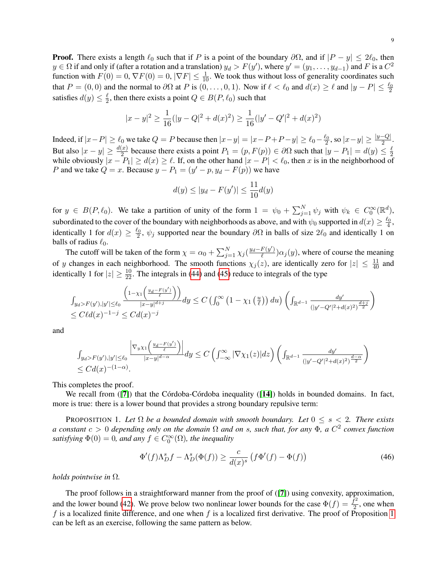**Proof.** There exists a length  $\ell_0$  such that if P is a point of the boundary  $\partial\Omega$ , and if  $|P - y| \le 2\ell_0$ , then  $y \in \Omega$  if and only if (after a rotation and a translation)  $y_d > F(y')$ , where  $y' = (y_1, \ldots, y_{d-1})$  and F is a  $C^2$ function with  $F(0) = 0$ ,  $\nabla F(0) = 0$ ,  $|\nabla F| \le \frac{1}{10}$ . We took thus without loss of generality coordinates such that  $P = (0, 0)$  and the normal to  $\partial\Omega$  at P is  $(0, \ldots, 0, 1)$ . Now if  $\ell < \ell_0$  and  $d(x) \ge \ell$  and  $|y - P| \le \frac{\ell_0}{2}$ satisfies  $d(y) \leq \frac{\ell}{2}$  $\frac{\ell}{2}$ , then there exists a point  $Q \in B(P, \ell_0)$  such that

$$
|x - y|^2 \ge \frac{1}{16}(|y - Q|^2 + d(x)^2) \ge \frac{1}{16}(|y' - Q'|^2 + d(x)^2)
$$

Indeed, if  $|x-P| \ge \ell_0$  we take  $Q = P$  because then  $|x-y| = |x-P+P-y| \ge \ell_0 - \frac{\ell_0}{2}$ , so  $|x-y| \ge \frac{|y-Q|}{2}$ . But also  $|x-y| \ge \frac{d(x)}{2}$  because there exists a point  $P_1 = (p, F(p)) \in \partial \Omega$  such that  $|y - P_1| = d(y) \le \frac{\ell}{2}$ But also  $|x - y| \ge \frac{n}{2}$  because there exists a point  $T_1 = (p, T(p)) \in \partial \Omega$  such that  $|y - T_1| = u(y) \le \frac{\pi}{2}$  while obviously  $|x - P_1| \ge d(x) \ge \ell$ . If, on the other hand  $|x - P| < \ell_0$ , then x is in the neighborhood of P and we take  $Q = x$ . Because  $y - P_1 = (y' - p, y_d - F(p))$  we have

$$
d(y) \le |y_d - F(y')| \le \frac{11}{10}d(y)
$$

for  $y \in B(P, \ell_0)$ . We take a partition of unity of the form  $1 = \psi_0 + \sum_{j=1}^N \psi_j$  with  $\psi_k \in C_0^{\infty}(\mathbb{R}^d)$ , subordinated to the cover of the boundary with neighborhoods as above, and with  $\psi_0$  supported in  $d(x) \ge \frac{\ell_0}{4}$ , identically 1 for  $d(x) \ge \frac{\ell_0}{2}$ ,  $\psi_j$  supported near the boundary  $\partial\Omega$  in balls of size  $2\ell_0$  and identically 1 on balls of radius  $\ell_0$ .

The cutoff will be taken of the form  $\chi = \alpha_0 + \sum_{j=1}^{N} \chi_j \left( \frac{y_d - F(y')}{\ell} \right)$  $\frac{F(y)}{\ell}$ ) $\alpha_j(y)$ , where of course the meaning of y changes in each neighborhood. The smooth functions  $\chi_j(z)$ , are identically zero for  $|z| \leq \frac{11}{40}$  and identically 1 for  $|z| \ge \frac{10}{22}$ . The integrals in [\(44\)](#page-7-2) and [\(45\)](#page-7-3) reduce to integrals of the type

$$
\int_{y_d > F(y'),|y'| \le \ell_0} \frac{\left(1 - \chi_1\left(\frac{y_d - F(y')}{\ell}\right)\right)}{|x - y|^{d+j}} dy \le C \left(\int_0^\infty \left(1 - \chi_1\left(\frac{u}{\ell}\right)\right) du\right) \left(\int_{\mathbb{R}^{d-1}} \frac{dy'}{(|y' - Q'|^2 + d(x)^2)^{\frac{d+j}{2}}}\right) \le C\ell d(x)^{-1-j} \le C d(x)^{-j}
$$

and

$$
\int_{y_d > F(y'),|y'| \le \ell_0} \frac{\left| \nabla_{y\chi_1} \left( \frac{y_d - F(y')}{\ell} \right) \right|}{|x - y|^{d - \alpha}} dy \le C \left( \int_{-\infty}^{\infty} |\nabla \chi_1(z)| dz \right) \left( \int_{\mathbb{R}^{d-1}} \frac{dy'}{(|y' - Q'|^2 + d(x)^2)^{\frac{d - \alpha}{2}}} \right)
$$
  

$$
\le C d(x)^{-(1 - \alpha)}.
$$

This completes the proof.

We recall from  $([7])$  $([7])$  $([7])$  that the Córdoba-Córdoba inequality  $([14])$  $([14])$  $([14])$  holds in bounded domains. In fact, more is true: there is a lower bound that provides a strong boundary repulsive term:

<span id="page-8-1"></span>PROPOSITION 1. Let  $\Omega$  *be a bounded domain with smooth boundary. Let*  $0 \leq s < 2$ *. There exists a constant* c > 0 *depending only on the domain* Ω *and on* s*, such that, for any* Φ*, a* C 2 *convex function* satisfying  $\Phi(0) = 0$ , and any  $f \in C_0^{\infty}(\Omega)$ , the inequality

<span id="page-8-0"></span>
$$
\Phi'(f)\Lambda_D^s f - \Lambda_D^s(\Phi(f)) \ge \frac{c}{d(x)^s} \left(f\Phi'(f) - \Phi(f)\right) \tag{46}
$$

*holds pointwise in* Ω*.*

<span id="page-8-2"></span>The proof follows in a straightforward manner from the proof of ([[7](#page-27-17)]) using convexity, approximation, and the lower bound [\(42\)](#page-6-0). We prove below two nonlinear lower bounds for the case  $\Phi(f) = \frac{f^2}{2}$  $\frac{t^2}{2}$ , one when f is a localized finite difference, and one when f is a localized first derivative. The proof of Proposition [1](#page-8-1) can be left as an exercise, following the same pattern as below.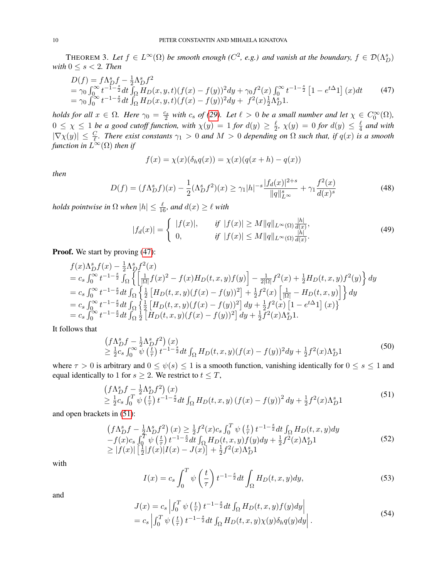THEOREM 3. Let  $f \in L^{\infty}(\Omega)$  be smooth enough ( $C^2$ , e.g.) and vanish at the boundary,  $f \in \mathcal{D}(\Lambda_D^s)$ *with*  $0 \leq s < 2$ *. Then* 

<span id="page-9-1"></span>
$$
D(f) = f\Lambda_D^s f - \frac{1}{2}\Lambda_D^s f^2
$$
  
=  $\gamma_0 \int_0^\infty t^{-1-\frac{s}{2}} dt \int_{\Omega} H_D(x, y, t) (f(x) - f(y))^2 dy + \gamma_0 f^2(x) \int_0^\infty t^{-1-\frac{s}{2}} [1 - e^{t\Delta}1] (x) dt$  (47)  
=  $\gamma_0 \int_0^\infty t^{-1-\frac{s}{2}} dt \int_{\Omega} H_D(x, y, t) (f(x) - f(y))^2 dy + f^2(x) \frac{1}{2} \Lambda_D^s 1.$ 

*holds for all*  $x \in \Omega$ *. Here*  $\gamma_0 = \frac{c_s}{2}$  *with*  $c_s$  *of* [\(29\)](#page-5-6)*. Let*  $\ell > 0$  *be a small number and let*  $\chi \in C_0^{\infty}(\Omega)$ *,*  $\overline{2}$  with  $c_s$  of (29). Let  $\ell > 0$  be a small humber and let  $\chi \in C_0$  $0 \leq \chi \leq 1$  *be a good cutoff function, with*  $\chi(y) = 1$  *for*  $d(y) \geq \frac{\ell}{2}$  $\frac{\ell}{2}$ ,  $\chi(y)$  = 0 for  $d(y) \leq \frac{\ell}{4}$  $rac{\ell}{4}$  and with  $|\nabla \chi(y)| \leq \frac{C}{\ell}$ . There exist constants  $\gamma_1 > 0$  and  $M > 0$  depending on  $\Omega$  such that, if  $q(x)$  is a smooth function in  $\check{L^\infty}(\Omega)$  then if

$$
f(x) = \chi(x)(\delta_h q(x)) = \chi(x)(q(x+h) - q(x))
$$

*then*

<span id="page-9-0"></span>
$$
D(f) = (f\Lambda_D^s f)(x) - \frac{1}{2}(\Lambda_D^s f^2)(x) \ge \gamma_1 |h|^{-s} \frac{|f_d(x)|^{2+s}}{\|q\|_{L^\infty}^s} + \gamma_1 \frac{f^2(x)}{d(x)^s}
$$
(48)

*holds pointwise in*  $\Omega$  *when*  $|h| \leq \frac{\ell}{16}$ *, and*  $d(x) \geq \ell$  *with* 

$$
|f_d(x)| = \begin{cases} |f(x)|, & \text{if } |f(x)| \ge M \|q\|_{L^{\infty}(\Omega)} \frac{|h|}{d(x)}, \\ 0, & \text{if } |f(x)| \le M \|q\|_{L^{\infty}(\Omega)} \frac{|h|}{d(x)}. \end{cases}
$$
(49)

Proof. We start by proving  $(47)$ :

$$
f(x)\Lambda_D^s f(x) - \frac{1}{2}\Lambda_D^s f^2(x)
$$
  
=  $c_s \int_0^\infty t^{-1-\frac{s}{2}} \int_{\Omega} \left\{ \left[ \frac{1}{|\Omega|} f(x)^2 - f(x)H_D(t, x, y)f(y) \right] - \frac{1}{2|\Omega|} f^2(x) + \frac{1}{2}H_D(t, x, y)f^2(y) \right\} dy$   
=  $c_s \int_0^\infty t^{-1-\frac{s}{2}} dt \int_{\Omega} \left\{ \frac{1}{2} \left[ H_D(t, x, y) (f(x) - f(y))^2 \right] + \frac{1}{2} f^2(x) \left[ \frac{1}{|\Omega|} - H_D(t, x, y) \right] \right\} dy$   
=  $c_s \int_0^\infty t^{-1-\frac{s}{2}} dt \int_{\Omega} \left\{ \frac{1}{2} \left[ H_D(t, x, y) (f(x) - f(y))^2 \right] dy + \frac{1}{2} f^2(x) \left[ 1 - e^{t\Delta} 1 \right] (x) \right\}$   
=  $c_s \int_0^\infty t^{-1-\frac{s}{2}} dt \int_{\Omega} \frac{1}{2} \left[ H_D(t, x, y) (f(x) - f(y))^2 \right] dy + \frac{1}{2} f^2(x) \Lambda_D^s 1.$ 

It follows that

$$
\begin{array}{l}\n\left(f\Lambda_D^s f - \frac{1}{2}\Lambda_D^s f^2\right)(x) \\
\geq \frac{1}{2}c_s \int_0^\infty \psi\left(\frac{t}{\tau}\right) t^{-1-\frac{s}{2}} dt \int_{\Omega} H_D(t, x, y) (f(x) - f(y))^2 dy + \frac{1}{2} f^2(x) \Lambda_D^s 1\n\end{array} \tag{50}
$$

where  $\tau > 0$  is arbitrary and  $0 \le \psi(s) \le 1$  is a smooth function, vanishing identically for  $0 \le s \le 1$  and equal identically to 1 for  $s \geq 2$ . We restrict to  $t \leq T$ ,

<span id="page-9-2"></span>
$$
(f\Lambda_D^s f - \frac{1}{2}\Lambda_D^s f^2)(x)
$$
  
\n
$$
\geq \frac{1}{2}c_s \int_0^T \psi\left(\frac{t}{\tau}\right) t^{-1-\frac{s}{2}} dt \int_{\Omega} H_D(t, x, y) \left(f(x) - f(y)\right)^2 dy + \frac{1}{2}f^2(x)\Lambda_D^s 1
$$
\n(51)

and open brackets in [\(51\)](#page-9-2):

<span id="page-9-3"></span>
$$
(f\Lambda_D^s f - \frac{1}{2}\Lambda_D^s f^2)(x) \ge \frac{1}{2}f^2(x)c_s \int_0^T \psi\left(\frac{t}{\tau}\right) t^{-1-\frac{s}{2}} dt \int_{\Omega} H_D(t, x, y) dy -f(x)c_s \int_0^T \psi\left(\frac{t}{\tau}\right) t^{-1-\frac{s}{2}} dt \int_{\Omega} H_D(t, x, y) f(y) dy + \frac{1}{2}f^2(x)\Lambda_D^s 1 \ge |f(x)| \left[\frac{1}{2}|f(x)|I(x) - J(x)| + \frac{1}{2}f^2(x)\Lambda_D^s 1\right]
$$
\n(52)

with

<span id="page-9-4"></span>
$$
I(x) = c_s \int_0^T \psi\left(\frac{t}{\tau}\right) t^{-1-\frac{s}{2}} dt \int_{\Omega} H_D(t, x, y) dy,
$$
\n(53)

and

$$
J(x) = c_s \left| \int_0^T \psi\left(\frac{t}{\tau}\right) t^{-1-\frac{s}{2}} dt \int_{\Omega} H_D(t, x, y) f(y) dy \right|
$$
  
=  $c_s \left| \int_0^T \psi\left(\frac{t}{\tau}\right) t^{-1-\frac{s}{2}} dt \int_{\Omega} H_D(t, x, y) \chi(y) \delta_h q(y) dy \right|$ . (54)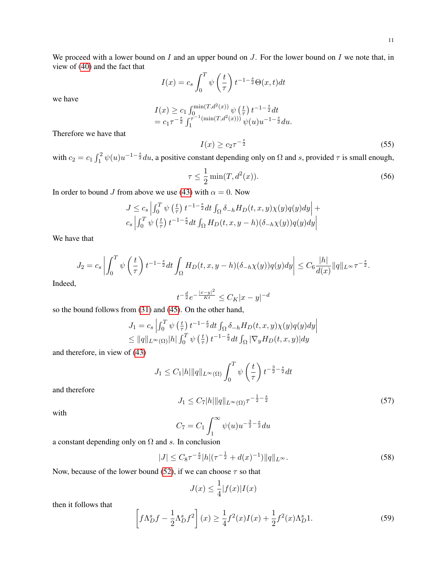We proceed with a lower bound on  $I$  and an upper bound on  $J$ . For the lower bound on  $I$  we note that, in view of [\(40\)](#page-6-1) and the fact that

$$
I(x) = c_s \int_0^T \psi\left(\frac{t}{\tau}\right) t^{-1-\frac{s}{2}} \Theta(x, t) dt
$$

we have

$$
I(x) \ge c_1 \int_0^{\min(T, d^2(x))} \psi\left(\frac{t}{\tau}\right) t^{-1-\frac{s}{2}} dt
$$
  
=  $c_1 \tau^{-\frac{s}{2}} \int_1^{\tau^{-1}(\min(T, d^2(x)))} \psi(u) u^{-1-\frac{s}{2}} du.$ 

Therefore we have that

<span id="page-10-0"></span>
$$
I(x) \ge c_2 \tau^{-\frac{s}{2}} \tag{55}
$$

with  $c_2 = c_1 \int_1^2 \psi(u) u^{-1-\frac{s}{2}} du$ , a positive constant depending only on  $\Omega$  and s, provided  $\tau$  is small enough,

<span id="page-10-2"></span>
$$
\tau \le \frac{1}{2} \min(T, d^2(x)).\tag{56}
$$

In order to bound J from above we use [\(43\)](#page-7-1) with  $\alpha = 0$ . Now

$$
J \leq c_s \left| \int_0^T \psi\left(\frac{t}{\tau}\right) t^{-1-\frac{s}{2}} dt \int_{\Omega} \delta_{-h} H_D(t, x, y) \chi(y) q(y) dy \right| + c_s \left| \int_0^T \psi\left(\frac{t}{\tau}\right) t^{-1-\frac{s}{2}} dt \int_{\Omega} H_D(t, x, y - h) (\delta_{-h} \chi(y)) q(y) dy \right|
$$

We have that

$$
J_2 = c_s \left| \int_0^T \psi\left(\frac{t}{\tau}\right) t^{-1-\frac{s}{2}} dt \int_{\Omega} H_D(t, x, y-h)(\delta_{-h}\chi(y)) q(y) dy \right| \leq C_6 \frac{|h|}{d(x)} \|q\|_{L^{\infty}} \tau^{-\frac{s}{2}}.
$$

Indeed,

$$
t^{-\frac{d}{2}}e^{-\frac{|x-y|^2}{Kt}} \leq C_K|x-y|^{-d}
$$

so the bound follows from [\(31\)](#page-5-3) and [\(45\)](#page-7-3). On the other hand,

$$
J_1 = c_s \left| \int_0^T \psi\left(\frac{t}{\tau}\right) t^{-1-\frac{s}{2}} dt \int_{\Omega} \delta_{-h} H_D(t, x, y) \chi(y) q(y) dy \right|
$$
  
\n
$$
\leq ||q||_{L^{\infty}(\Omega)} |h| \int_0^T \psi\left(\frac{t}{\tau}\right) t^{-1-\frac{s}{2}} dt \int_{\Omega} |\nabla_y H_D(t, x, y)| dy
$$

and therefore, in view of [\(43\)](#page-7-1)

$$
J_1 \leq C_1 |h| \|q\|_{L^{\infty}(\Omega)} \int_0^T \psi\left(\frac{t}{\tau}\right) t^{-\frac{3}{2} - \frac{s}{2}} dt
$$

and therefore

$$
J_1 \le C_7 |h| \|q\|_{L^\infty(\Omega)} \tau^{-\frac{1}{2} - \frac{s}{2}} \tag{57}
$$

with

$$
C_7 = C_1 \int_1^{\infty} \psi(u) u^{-\frac{3}{2} - \frac{s}{2}} du
$$

a constant depending only on  $\Omega$  and s. In conclusion

<span id="page-10-1"></span>
$$
|J| \leq C_8 \tau^{-\frac{s}{2}} |h| (\tau^{-\frac{1}{2}} + d(x)^{-1}) ||q||_{L^{\infty}}.
$$
 (58)

Now, because of the lower bound [\(52\)](#page-9-3), if we can choose  $\tau$  so that

$$
J(x) \le \frac{1}{4} |f(x)| I(x)
$$

then it follows that

<span id="page-10-3"></span>
$$
\left[f\Lambda_D^s f - \frac{1}{2}\Lambda_D^s f^2\right](x) \ge \frac{1}{4}f^2(x)I(x) + \frac{1}{2}f^2(x)\Lambda_D^s 1.
$$
 (59)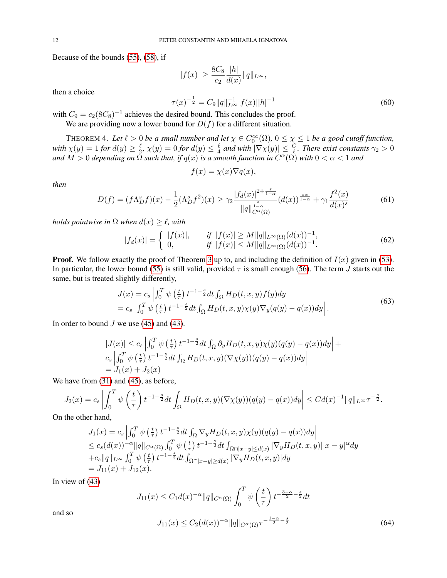Because of the bounds [\(55\)](#page-10-0), [\(58\)](#page-10-1), if

$$
|f(x)| \ge \frac{8C_8}{c_2} \frac{|h|}{d(x)} ||q||_{L^{\infty}},
$$

then a choice

$$
\tau(x)^{-\frac{1}{2}} = C_9 \|q\|_{L^\infty}^{-1} |f(x)| |h|^{-1} \tag{60}
$$

with  $C_9 = c_2(8C_8)^{-1}$  achieves the desired bound. This concludes the proof.

We are providing now a lower bound for  $D(f)$  for a different situation.

THEOREM 4. Let  $\ell > 0$  be a small number and let  $\chi \in C_0^{\infty}(\Omega)$ ,  $0 \leq \chi \leq 1$  be a good cutoff function, *with*  $\chi(y) = 1$  *for*  $d(y) \geq \frac{\ell}{2}$  $\frac{\ell}{2}$ ,  $\chi(y) = 0$  for  $d(y) \leq \frac{\ell}{4}$  $\frac{\ell}{4}$  and with  $|\nabla \chi(y)| \leq \frac{C}{\ell}$ . There exist constants  $\gamma_2 > 0$ and  $M > 0$  depending on  $\tilde{\Omega}$  such that, if  $q(x)$  is a smooth function in  $C^{\alpha}(\tilde{\Omega})$  with  $0 < \alpha < 1$  and

$$
f(x) = \chi(x)\nabla q(x),
$$

*then*

<span id="page-11-0"></span>
$$
D(f) = (f\Lambda_D^s f)(x) - \frac{1}{2}(\Lambda_D^s f^2)(x) \ge \gamma_2 \frac{|f_d(x)|^{2 + \frac{s}{1 - \alpha}}}{\|q\|_{C^{\alpha}(\Omega)}^{\frac{s}{1 - \alpha}}} (d(x))^{\frac{s\alpha}{1 - \alpha}} + \gamma_1 \frac{f^2(x)}{d(x)^s}
$$
(61)

*holds pointwise in*  $\Omega$  *when*  $d(x) \geq \ell$ *, with* 

$$
|f_d(x)| = \begin{cases} |f(x)|, & \text{if } |f(x)| \ge M \|q\|_{L^\infty(\Omega)} (d(x))^{-1}, \\ 0, & \text{if } |f(x)| \le M \|q\|_{L^\infty(\Omega)} (d(x))^{-1}. \end{cases} \tag{62}
$$

**Proof.** We follow exactly the proof of Theorem [3](#page-8-2) up to, and including the definition of  $I(x)$  given in [\(53\)](#page-9-4). In particular, the lower bound [\(55\)](#page-10-0) is still valid, provided  $\tau$  is small enough [\(56\)](#page-10-2). The term J starts out the same, but is treated slightly differently,

$$
J(x) = c_s \left| \int_0^T \psi\left(\frac{t}{\tau}\right) t^{-1-\frac{s}{2}} dt \int_{\Omega} H_D(t, x, y) f(y) dy \right|
$$
  
=  $c_s \left| \int_0^T \psi\left(\frac{t}{\tau}\right) t^{-1-\frac{s}{2}} dt \int_{\Omega} H_D(t, x, y) \chi(y) \nabla_y (q(y) - q(x)) dy \right|$ . (63)

In order to bound  $J$  we use [\(45\)](#page-7-3) and [\(43\)](#page-7-1).

$$
|J(x)| \leq c_s \left| \int_0^T \psi\left(\frac{t}{\tau}\right) t^{-1-\frac{s}{2}} dt \int_{\Omega} \partial_y H_D(t, x, y) \chi(y) (q(y) - q(x)) dy \right| + c_s \left| \int_0^T \psi\left(\frac{t}{\tau}\right) t^{-1-\frac{s}{2}} dt \int_{\Omega} H_D(t, x, y) (\nabla \chi(y)) (q(y) - q(x)) dy \right|
$$
  
=  $J_1(x) + J_2(x)$ 

We have from  $(31)$  and  $(45)$ , as before,

$$
J_2(x) = c_s \left| \int_0^T \psi\left(\frac{t}{\tau}\right) t^{-1-\frac{s}{2}} dt \int_{\Omega} H_D(t, x, y) (\nabla \chi(y)) (q(y) - q(x)) dy \right| \leq C d(x)^{-1} ||q||_{L^{\infty}} \tau^{-\frac{s}{2}}.
$$

On the other hand,

$$
J_1(x) = c_s \left| \int_0^T \psi\left(\frac{t}{\tau}\right) t^{-1-\frac{s}{2}} dt \int_{\Omega} \nabla_y H_D(t, x, y) \chi(y) (q(y) - q(x)) dy \right|
$$
  
\n
$$
\leq c_s (d(x))^{-\alpha} ||q||_{C^{\alpha}(\Omega)} \int_0^T \psi\left(\frac{t}{\tau}\right) t^{-1-\frac{s}{2}} dt \int_{\Omega \cap |x-y| \leq d(x)} |\nabla_y H_D(t, x, y)| |x-y|^{\alpha} dy
$$
  
\n
$$
+ c_s ||q||_{L^{\infty}} \int_0^T \psi\left(\frac{t}{\tau}\right) t^{-1-\frac{s}{2}} dt \int_{\Omega \cap |x-y| \geq d(x)} |\nabla_y H_D(t, x, y)| dy
$$
  
\n
$$
= J_{11}(x) + J_{12}(x).
$$

In view of [\(43\)](#page-7-1)

 $J_{11}(x) \leq C_1 d(x)^{-\alpha} ||q||_{C^{\alpha}(\Omega)} \int_0^T$  $\psi\left(\frac{t}{t}\right)$ τ  $\int t^{-\frac{3-\alpha}{2}-\frac{s}{2}}dt$ 

and so

$$
J_{11}(x) \le C_2(d(x))^{-\alpha} \|q\|_{C^{\alpha}(\Omega)} \tau^{-\frac{1-\alpha}{2} - \frac{s}{2}}
$$
\n(64)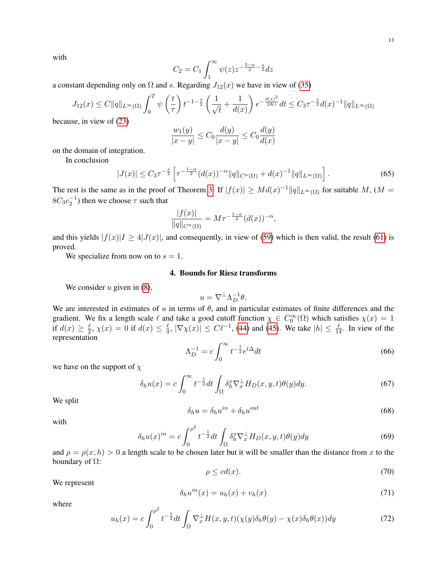with

$$
C_2 = C_1 \int_1^\infty \psi(z) z^{-\frac{3-\alpha}{2} - \frac{s}{2}} dz
$$

a constant depending only on  $\Omega$  and s. Regarding  $J_{12}(x)$  we have in view of [\(35\)](#page-5-5)

$$
J_{12}(x) \le C \|q\|_{L^{\infty}(\Omega)} \int_0^T \psi\left(\frac{t}{\tau}\right) t^{-1-\frac{s}{2}} \left(\frac{1}{\sqrt{t}} + \frac{1}{d(x)}\right) e^{-\frac{d(x)^2}{2Kt}} dt \le C_3 \tau^{-\frac{s}{2}} d(x)^{-1} \|q\|_{L^{\infty}(\Omega)}
$$

because, in view of [\(23\)](#page-4-0)

$$
\frac{w_1(y)}{|x - y|} \le C_0 \frac{d(y)}{|x - y|} \le C_0 \frac{d(y)}{d(x)}
$$

on the domain of integration.

In conclusion

$$
|J(x)| \leq C_3 \tau^{-\frac{s}{2}} \left[ \tau^{-\frac{1-\alpha}{2}} (d(x))^{-\alpha} ||q||_{C^{\alpha}(\Omega)} + d(x)^{-1} ||q||_{L^{\infty}(\Omega)} \right].
$$
 (65)

The rest is the same as in the proof of Theorem [3:](#page-8-2) If  $|f(x)| \geq Md(x)^{-1}||q||_{L^{\infty}(\Omega)}$  for suitable M, (M =  $8C_3c_2^{-1}$ ) then we choose  $\tau$  such that

$$
\frac{|f(x)|}{\|q\|_{C^{\alpha}(\Omega)}} = M\tau^{-\frac{1-\alpha}{2}}(d(x))^{-\alpha},
$$

and this yields  $|f(x)| \ge 4|J(x)|$ , and consequently, in view of [\(59\)](#page-10-3) which is then valid, the result [\(61\)](#page-11-0) is proved.

We specialize from now on to  $s = 1$ .

# 4. Bounds for Riesz transforms

We consider  $u$  given in  $(8)$ ,

$$
u = \nabla^{\perp} \Lambda_D^{-1} \theta.
$$

We are interested in estimates of  $u$  in terms of  $\theta$ , and in particular estimates of finite differences and the gradient. We fix a length scale  $\ell$  and take a good cutoff function  $\chi \in C_0^{\infty}(\Omega)$  which satisfies  $\chi(x) = 1$ if  $d(x) \geq \frac{\ell}{2}$  $\frac{\ell}{2}, \, \chi(x) \, = \, 0$  if  $d(x) \, \leq \, \frac{\ell}{4}$  $\frac{\ell}{4}$ ,  $|\nabla \chi(x)| \leq C \ell^{-1}$ , [\(44\)](#page-7-2) and [\(45\)](#page-7-3). We take  $|h| \leq \frac{\ell}{14}$ . In view of the representation

$$
\Lambda_D^{-1} = c \int_0^\infty t^{-\frac{1}{2}} e^{t\Delta} dt \tag{66}
$$

we have on the support of  $\chi$ 

$$
\delta_h u(x) = c \int_0^\infty t^{-\frac{1}{2}} dt \int_\Omega \delta_h^x \nabla_x^\perp H_D(x, y, t) \theta(y) dy. \tag{67}
$$

We split

$$
\delta_h u = \delta_h u^{in} + \delta_h u^{out} \tag{68}
$$

with

$$
\delta_h u(x)^{in} = c \int_0^{\rho^2} t^{-\frac{1}{2}} dt \int_{\Omega} \delta_h^x \nabla_x^{\perp} H_D(x, y, t) \theta(y) dy \tag{69}
$$

and  $\rho = \rho(x, h) > 0$  a length scale to be chosen later but it will be smaller than the distance from x to the boundary of  $\Omega$ :

$$
\rho \le cd(x). \tag{70}
$$

We represent

$$
\delta_h u^{in}(x) = u_h(x) + v_h(x) \tag{71}
$$

where

<span id="page-12-0"></span>
$$
u_h(x) = c \int_0^{\rho^2} t^{-\frac{1}{2}} dt \int_{\Omega} \nabla_x^{\perp} H(x, y, t) (\chi(y) \delta_h \theta(y) - \chi(x) \delta_h \theta(x)) dy \tag{72}
$$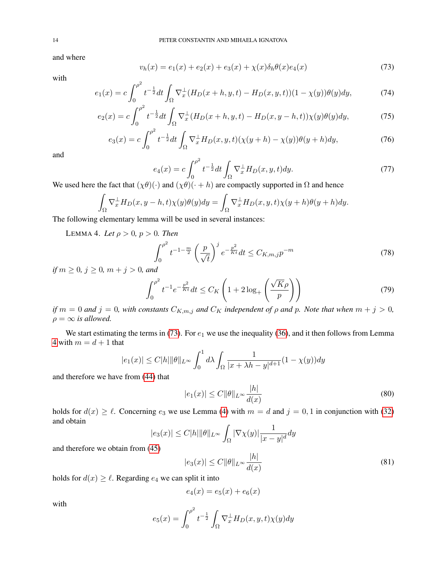and where

<span id="page-13-0"></span>
$$
v_h(x) = e_1(x) + e_2(x) + e_3(x) + \chi(x)\delta_h\theta(x)e_4(x)
$$
\n(73)

with

$$
e_1(x) = c \int_0^{\rho^2} t^{-\frac{1}{2}} dt \int_{\Omega} \nabla_x^{\perp} (H_D(x+h, y, t) - H_D(x, y, t)) (1 - \chi(y)) \theta(y) dy,
$$
 (74)

$$
e_2(x) = c \int_0^{\rho^2} t^{-\frac{1}{2}} dt \int_{\Omega} \nabla_x^{\perp} (H_D(x+h, y, t) - H_D(x, y-h, t)) \chi(y) \theta(y) dy,
$$
 (75)

$$
e_3(x) = c \int_0^{\rho^2} t^{-\frac{1}{2}} dt \int_{\Omega} \nabla_x^{\perp} H_D(x, y, t) (\chi(y + h) - \chi(y)) \theta(y + h) dy, \tag{76}
$$

and

$$
e_4(x) = c \int_0^{\rho^2} t^{-\frac{1}{2}} dt \int_{\Omega} \nabla_x^{\perp} H_D(x, y, t) dy.
$$
 (77)

We used here the fact that  $(\chi \theta)(\cdot)$  and  $(\chi \theta)(\cdot + h)$  are compactly supported in  $\Omega$  and hence

$$
\int_{\Omega} \nabla_x^{\perp} H_D(x, y - h, t) \chi(y) \theta(y) dy = \int_{\Omega} \nabla_x^{\perp} H_D(x, y, t) \chi(y + h) \theta(y + h) dy.
$$

<span id="page-13-1"></span>The following elementary lemma will be used in several instances:

**LEMMA 4.** *Let*  $\rho > 0$ ,  $p > 0$ . *Then* 

$$
\int_0^{\rho^2} t^{-1-\frac{m}{2}} \left(\frac{p}{\sqrt{t}}\right)^j e^{-\frac{p^2}{Kt}} dt \le C_{K,m,j} p^{-m}
$$
\n(78)

*if*  $m \ge 0$ *,*  $j \ge 0$ *,*  $m + j > 0$ *, and* 

$$
\int_0^{\rho^2} t^{-1} e^{-\frac{p^2}{Kt}} dt \le C_K \left( 1 + 2 \log_+ \left( \frac{\sqrt{K} \rho}{p} \right) \right) \tag{79}
$$

*if*  $m = 0$  *and*  $j = 0$ *, with constants*  $C_{K,m,j}$  *and*  $C_K$  *independent of*  $\rho$  *and*  $p$ *. Note that when*  $m + j > 0$ *,*  $\rho = \infty$  *is allowed.* 

We start estimating the terms in [\(73\)](#page-13-0). For  $e_1$  we use the inequality [\(36\)](#page-5-4), and it then follows from Lemma [4](#page-13-1) with  $m = d + 1$  that

$$
|e_1(x)| \le C|h|\|\theta\|_{L^\infty} \int_0^1 d\lambda \int_{\Omega} \frac{1}{|x + \lambda h - y|^{d+1}} (1 - \chi(y)) dy
$$

and therefore we have from [\(44\)](#page-7-2) that

<span id="page-13-2"></span>
$$
|e_1(x)| \le C ||\theta||_{L^\infty} \frac{|h|}{d(x)}\tag{80}
$$

holds for  $d(x) \ge \ell$ . Concerning  $e_3$  we use Lemma [\(4\)](#page-13-1) with  $m = d$  and  $j = 0, 1$  in conjunction with [\(32\)](#page-5-2) and obtain  $\overline{1}$ 

$$
|e_3(x)| \le C|h| \|\theta\|_{L^\infty} \int_{\Omega} |\nabla \chi(y)| \frac{1}{|x-y|^d} dy
$$

and therefore we obtain from [\(45\)](#page-7-3)

$$
|e_3(x)| \le C \|\theta\|_{L^\infty} \frac{|h|}{d(x)}\tag{81}
$$

holds for  $d(x) \geq \ell$ . Regarding  $e_4$  we can split it into

$$
e_4(x) = e_5(x) + e_6(x)
$$

with

$$
e_5(x) = \int_0^{\rho^2} t^{-\frac{1}{2}} \int_{\Omega} \nabla_x^{\perp} H_D(x, y, t) \chi(y) dy
$$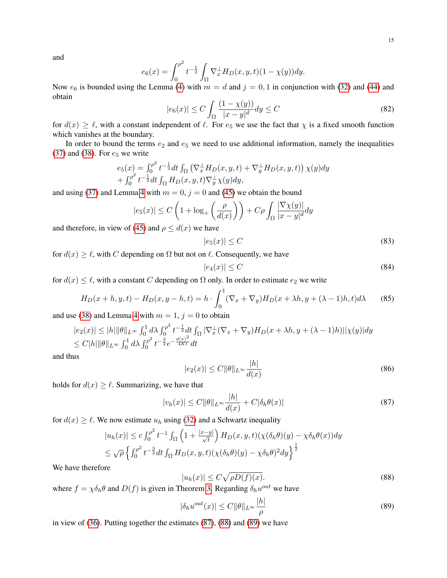and

$$
e_6(x) = \int_0^{\rho^2} t^{-\frac{1}{2}} \int_{\Omega} \nabla_x^{\perp} H_D(x, y, t) (1 - \chi(y)) dy.
$$

Now  $e_6$  is bounded using the Lemma [\(4\)](#page-13-1) with  $m = d$  and  $j = 0, 1$  in conjunction with [\(32\)](#page-5-2) and [\(44\)](#page-7-2) and obtain

$$
|e_6(x)| \le C \int_{\Omega} \frac{(1 - \chi(y))}{|x - y|^d} dy \le C
$$
\n(82)

for  $d(x) \ge \ell$ , with a constant independent of  $\ell$ . For  $e_5$  we use the fact that  $\chi$  is a fixed smooth function which vanishes at the boundary.

In order to bound the terms  $e_2$  and  $e_5$  we need to use additional information, namely the inequalities [\(37\)](#page-5-0) and [\(38\)](#page-5-1). For  $e_5$  we write

$$
e_5(x) = \int_0^{\rho^2} t^{-\frac{1}{2}} dt \int_{\Omega} \left( \nabla_x^{\perp} H_D(x, y, t) + \nabla_y^{\perp} H_D(x, y, t) \right) \chi(y) dy
$$
  
+ 
$$
\int_0^{\rho^2} t^{-\frac{1}{2}} dt \int_{\Omega} H_D(x, y, t) \nabla_y^{\perp} \chi(y) dy,
$$

and using [\(37\)](#page-5-0) and Lemma [4](#page-13-1) with  $m = 0$ ,  $j = 0$  and [\(45\)](#page-7-3) we obtain the bound

$$
|e_5(x)| \le C\left(1 + \log_+\left(\frac{\rho}{d(x)}\right)\right) + C\rho \int_{\Omega} \frac{|\nabla \chi(y)|}{|x - y|^d} dy
$$

and therefore, in view of [\(45\)](#page-7-3) and  $\rho \leq d(x)$  we have

$$
|e_5(x)| \le C \tag{83}
$$

for  $d(x) \ge \ell$ , with C depending on  $\Omega$  but not on  $\ell$ . Consequently, we have

$$
|e_4(x)| \le C \tag{84}
$$

for  $d(x) \leq \ell$ , with a constant C depending on  $\Omega$  only. In order to estimate  $e_2$  we write

<span id="page-14-4"></span>
$$
H_D(x+h, y, t) - H_D(x, y-h, t) = h \cdot \int_0^1 (\nabla_x + \nabla_y) H_D(x+\lambda h, y+(\lambda-1)h, t) d\lambda \tag{85}
$$

and use [\(38\)](#page-5-1) and Lemma [4](#page-13-1) with  $m = 1$ ,  $j = 0$  to obtain

$$
|e_2(x)| \le |h| \|\theta\|_{L^\infty} \int_0^1 d\lambda \int_0^{\rho^2} t^{-\frac{1}{2}} dt \int_{\Omega} |\nabla_x^{\perp} (\nabla_x + \nabla_y) H_D(x + \lambda h, y + (\lambda - 1)h)| |\chi(y)| dy
$$
  
\n
$$
\le C |h| \|\theta\|_{L^\infty} \int_0^1 d\lambda \int_0^{\rho^2} t^{-\frac{3}{2}} e^{-\frac{d(x)^2}{4Kt}} dt
$$

and thus

<span id="page-14-3"></span>
$$
|e_2(x)| \le C ||\theta||_{L^\infty} \frac{|h|}{d(x)}\tag{86}
$$

holds for  $d(x) \geq \ell$ . Summarizing, we have that

<span id="page-14-0"></span>
$$
|v_h(x)| \le C \|\theta\|_{L^\infty} \frac{|h|}{d(x)} + C|\delta_h \theta(x)| \tag{87}
$$

for  $d(x) \ge \ell$ . We now estimate  $u_h$  using [\(32\)](#page-5-2) and a Schwartz inequality

$$
|u_h(x)| \le c \int_0^{\rho^2} t^{-1} \int_{\Omega} \left( 1 + \frac{|x - y|}{\sqrt{t}} \right) H_D(x, y, t) (\chi(\delta_h \theta)(y) - \chi \delta_h \theta(x)) dy
$$
  

$$
\le \sqrt{\rho} \left\{ \int_0^{\rho^2} t^{-\frac{3}{2}} dt \int_{\Omega} H_D(x, y, t) (\chi(\delta_h \theta)(y) - \chi \delta_h \theta)^2 dy \right\}^{\frac{1}{2}}
$$

We have therefore

<span id="page-14-1"></span>
$$
|u_h(x)| \le C\sqrt{\rho D(f)(x)}.\tag{88}
$$

where  $f = \chi \delta_h \theta$  and  $D(f)$  is given in Theorem [3.](#page-8-2) Regarding  $\delta_h u^{out}$  we have

<span id="page-14-2"></span>
$$
|\delta_h u^{out}(x)| \le C ||\theta||_{L^\infty} \frac{|h|}{\rho} \tag{89}
$$

in view of [\(36\)](#page-5-4). Putting together the estimates [\(87\)](#page-14-0), [\(88\)](#page-14-1) and [\(89\)](#page-14-2) we have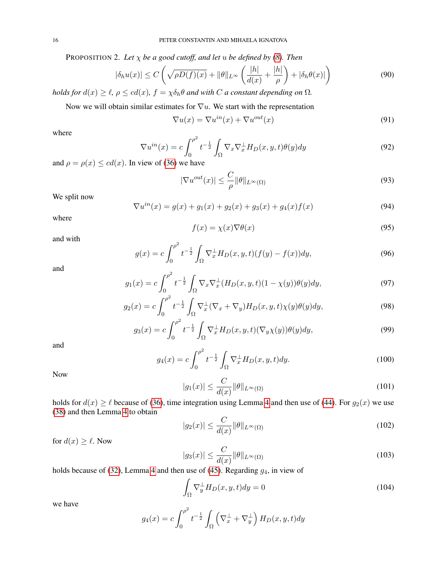PROPOSITION 2. Let  $\chi$  *be a good cutoff, and let u be defined by [\(8\)](#page-1-1). Then* 

<span id="page-15-0"></span>
$$
|\delta_h u(x)| \le C \left( \sqrt{\rho D(f)(x)} + \|\theta\|_{L^\infty} \left( \frac{|h|}{d(x)} + \frac{|h|}{\rho} \right) + |\delta_h \theta(x)| \right) \tag{90}
$$

*holds for*  $d(x) \geq \ell$ ,  $\rho \leq cd(x)$ ,  $f = \chi \delta_h \theta$  *and with* C *a constant depending on*  $\Omega$ *.* 

Now we will obtain similar estimates for  $\nabla u$ . We start with the representation

$$
\nabla u(x) = \nabla u^{in}(x) + \nabla u^{out}(x)
$$
\n(91)

where

$$
\nabla u^{in}(x) = c \int_0^{\rho^2} t^{-\frac{1}{2}} \int_{\Omega} \nabla_x \nabla_x^{\perp} H_D(x, y, t) \theta(y) dy \tag{92}
$$

and  $\rho = \rho(x) \leq cd(x)$ . In view of [\(36\)](#page-5-4) we have

$$
|\nabla u^{out}(x)| \leq \frac{C}{\rho} ||\theta||_{L^{\infty}(\Omega)}
$$
\n(93)

We split now

$$
\nabla u^{in}(x) = g(x) + g_1(x) + g_2(x) + g_3(x) + g_4(x)f(x)
$$
\n(94)

where

$$
f(x) = \chi(x)\nabla\theta(x) \tag{95}
$$

and with

$$
g(x) = c \int_0^{\rho^2} t^{-\frac{1}{2}} \int_{\Omega} \nabla_x^{\perp} H_D(x, y, t) (f(y) - f(x)) dy,
$$
\n(96)

and

$$
g_1(x) = c \int_0^{\rho^2} t^{-\frac{1}{2}} \int_{\Omega} \nabla_x \nabla_x^{\perp} (H_D(x, y, t)(1 - \chi(y)) \theta(y) dy,
$$
 (97)

$$
g_2(x) = c \int_0^{\rho^2} t^{-\frac{1}{2}} \int_{\Omega} \nabla_x^{\perp} (\nabla_x + \nabla_y) H_D(x, y, t) \chi(y) \theta(y) dy,
$$
\n(98)

$$
g_3(x) = c \int_0^{\rho^2} t^{-\frac{1}{2}} \int_{\Omega} \nabla_x^{\perp} H_D(x, y, t) (\nabla_y \chi(y)) \theta(y) dy,
$$
\n(99)

and

$$
g_4(x) = c \int_0^{\rho^2} t^{-\frac{1}{2}} \int_{\Omega} \nabla_x^{\perp} H_D(x, y, t) dy.
$$
 (100)

Now

$$
|g_1(x)| \le \frac{C}{d(x)} \|\theta\|_{L^\infty(\Omega)}\tag{101}
$$

holds for  $d(x) \ge \ell$  because of [\(36\)](#page-5-4), time integration using Lemma [4](#page-13-1) and then use of [\(44\)](#page-7-2). For  $g_2(x)$  we use [\(38\)](#page-5-1) and then Lemma [4](#page-13-1) to obtain

$$
|g_2(x)| \le \frac{C}{d(x)} \|\theta\|_{L^\infty(\Omega)}\tag{102}
$$

for  $d(x) \geq \ell$ . Now

$$
|g_3(x)| \le \frac{C}{d(x)} \|\theta\|_{L^\infty(\Omega)}\tag{103}
$$

holds because of [\(32\)](#page-5-2), Lemma [4](#page-13-1) and then use of [\(45\)](#page-7-3). Regarding  $g_4$ , in view of

$$
\int_{\Omega} \nabla_y^{\perp} H_D(x, y, t) dy = 0 \tag{104}
$$

we have

$$
g_4(x) = c \int_0^{\rho^2} t^{-\frac{1}{2}} \int_{\Omega} \left( \nabla_x^{\perp} + \nabla_y^{\perp} \right) H_D(x, y, t) dy
$$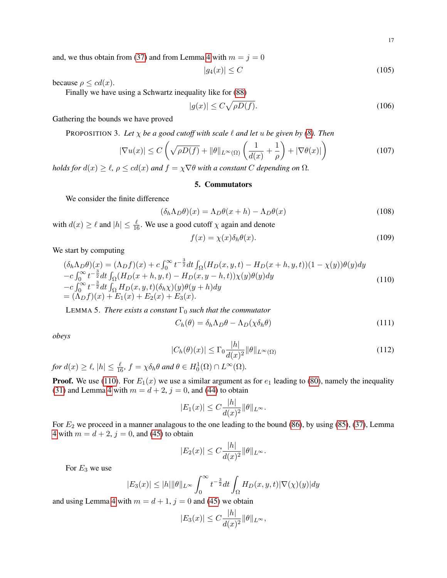17

and, we thus obtain from [\(37\)](#page-5-0) and from Lemma [4](#page-13-1) with  $m = j = 0$ 

$$
|g_4(x)| \le C \tag{105}
$$

because  $\rho \leq cd(x)$ .

Finally we have using a Schwartz inequality like for [\(88\)](#page-14-1)

$$
|g(x)| \le C\sqrt{\rho D(f)}.\tag{106}
$$

Gathering the bounds we have proved

PROPOSITION 3. Let  $\chi$  *be a good cutoff with scale*  $\ell$  *and let u be given by [\(8\)](#page-1-1). Then* 

<span id="page-16-0"></span>
$$
|\nabla u(x)| \le C\left(\sqrt{\rho D(f)} + \|\theta\|_{L^{\infty}(\Omega)}\left(\frac{1}{d(x)} + \frac{1}{\rho}\right) + |\nabla \theta(x)|\right)
$$
(107)

*holds for*  $d(x) \ge \ell$ ,  $\rho \le cd(x)$  *and*  $f = \chi \nabla \theta$  *with a constant* C *depending on*  $\Omega$ *.* 

### 5. Commutators

We consider the finite difference

$$
(\delta_h \Lambda_D \theta)(x) = \Lambda_D \theta(x+h) - \Lambda_D \theta(x)
$$
\n(108)

with  $d(x) \ge \ell$  and  $|h| \le \frac{\ell}{16}$ . We use a good cutoff  $\chi$  again and denote

<span id="page-16-4"></span>
$$
f(x) = \chi(x)\delta_h\theta(x). \tag{109}
$$

We start by computing

<span id="page-16-2"></span>
$$
(\delta_h \Lambda_D \theta)(x) = (\Lambda_D f)(x) + c \int_0^\infty t^{-\frac{3}{2}} dt \int_{\Omega} (H_D(x, y, t) - H_D(x + h, y, t))(1 - \chi(y))\theta(y) dy - c \int_0^\infty t^{-\frac{3}{2}} dt \int_{\Omega} (H_D(x + h, y, t) - H_D(x, y - h, t))\chi(y)\theta(y) dy - c \int_0^\infty t^{-\frac{3}{2}} dt \int_{\Omega} H_D(x, y, t)(\delta_h \chi)(y)\theta(y + h) dy = (\Lambda_D f)(x) + E_1(x) + E_2(x) + E_3(x).
$$
\n(110)

LEMMA 5. *There exists a constant*  $\Gamma_0$  *such that the commutator* 

<span id="page-16-3"></span>
$$
C_h(\theta) = \delta_h \Lambda_D \theta - \Lambda_D(\chi \delta_h \theta) \tag{111}
$$

*obeys*

<span id="page-16-1"></span>
$$
|C_h(\theta)(x)| \le \Gamma_0 \frac{|h|}{d(x)^2} \|\theta\|_{L^\infty(\Omega)}\tag{112}
$$

*for*  $d(x) \ge \ell$ ,  $|h| \le \frac{\ell}{16}$ ,  $f = \chi \delta_h \theta$  *and*  $\theta \in H_0^1(\Omega) \cap L^\infty(\Omega)$ *.* 

**Proof.** We use [\(110\)](#page-16-2). For  $E_1(x)$  we use a similar argument as for  $e_1$  leading to [\(80\)](#page-13-2), namely the inequality [\(31\)](#page-5-3) and Lemma [4](#page-13-1) with  $m = d + 2$ ,  $j = 0$ , and [\(44\)](#page-7-2) to obtain

$$
|E_1(x)| \leq C \frac{|h|}{d(x)^2} ||\theta||_{L^{\infty}}.
$$

For  $E_2$  we proceed in a manner analagous to the one leading to the bound [\(86\)](#page-14-3), by using [\(85\)](#page-14-4), [\(37\)](#page-5-0), Lemma [4](#page-13-1) with  $m = d + 2$ ,  $j = 0$ , and [\(45\)](#page-7-3) to obtain

$$
|E_2(x)| \leq C \frac{|h|}{d(x)^2} ||\theta||_{L^{\infty}}.
$$

For  $E_3$  we use

$$
|E_3(x)| \le |h| \|\theta\|_{L^\infty} \int_0^\infty t^{-\frac{3}{2}} dt \int_{\Omega} H_D(x, y, t) |\nabla(\chi)(y)| dy
$$

and using Lemma [4](#page-13-1) with  $m = d + 1$ ,  $j = 0$  and [\(45\)](#page-7-3) we obtain

$$
|E_3(x)| \leq C \frac{|h|}{d(x)^2} ||\theta||_{L^{\infty}},
$$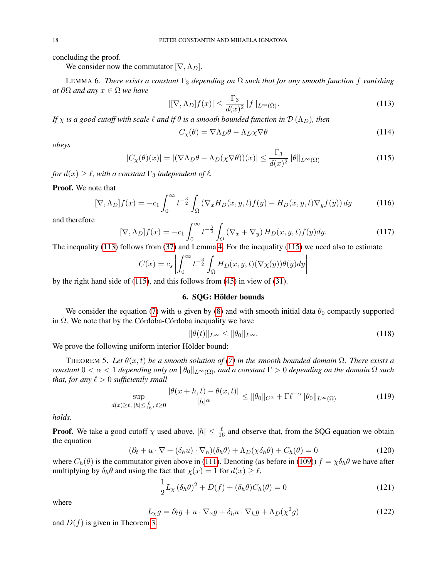concluding the proof.

We consider now the commutator  $[\nabla, \Lambda_D]$ .

LEMMA 6. *There exists a constant*  $\Gamma_3$  *depending on*  $\Omega$  *such that for any smooth function f vanishing at*  $\partial\Omega$  *and any*  $x \in \Omega$  *we have* 

<span id="page-17-1"></span>
$$
|[\nabla, \Lambda_D]f(x)| \le \frac{\Gamma_3}{d(x)^2} \|f\|_{L^\infty(\Omega)}.
$$
\n(113)

*If*  $\chi$  *is a good cutoff with scale*  $\ell$  *and if*  $\theta$  *is a smooth bounded function in*  $\mathcal{D}(\Lambda_D)$ *, then* 

<span id="page-17-2"></span>
$$
C_{\chi}(\theta) = \nabla \Lambda_D \theta - \Lambda_D \chi \nabla \theta \tag{114}
$$

*obeys*

<span id="page-17-0"></span>
$$
|C_{\chi}(\theta)(x)| = |(\nabla \Lambda_D \theta - \Lambda_D(\chi \nabla \theta))(x)| \le \frac{\Gamma_3}{d(x)^2} \|\theta\|_{L^\infty(\Omega)}\tag{115}
$$

*for*  $d(x) \geq \ell$ , with a constant  $\Gamma_3$  *independent of*  $\ell$ *.* 

### Proof. We note that

$$
[\nabla, \Lambda_D]f(x) = -c_1 \int_0^\infty t^{-\frac{3}{2}} \int_{\Omega} (\nabla_x H_D(x, y, t) f(y) - H_D(x, y, t) \nabla_y f(y)) dy \tag{116}
$$

and therefore

$$
[\nabla, \Lambda_D]f(x) = -c_1 \int_0^\infty t^{-\frac{3}{2}} \int_\Omega (\nabla_x + \nabla_y) H_D(x, y, t) f(y) dy.
$$
\n(117)

The inequality [\(113\)](#page-17-1) follows from [\(37\)](#page-5-0) and Lemma [4.](#page-13-1) For the inequality [\(115\)](#page-17-0) we need also to estimate

$$
C(x) = c_s \left| \int_0^\infty t^{-\frac{3}{2}} \int_{\Omega} H_D(x, y, t) (\nabla \chi(y)) \theta(y) dy \right|
$$

by the right hand side of [\(115\)](#page-17-0), and this follows from [\(45\)](#page-7-3) in view of [\(31\)](#page-5-3).

# 6. SQG: Hölder bounds

We consider the equation [\(7\)](#page-1-0) with u given by [\(8\)](#page-1-1) and with smooth initial data  $\theta_0$  compactly supported in  $\Omega$ . We note that by the Córdoba-Córdoba inequality we have

$$
\|\theta(t)\|_{L^{\infty}} \le \|\theta_0\|_{L^{\infty}}.\tag{118}
$$

We prove the following uniform interior Hölder bound:

THEOREM 5. Let  $\theta(x,t)$  be a smooth solution of [\(7\)](#page-1-0) in the smooth bounded domain  $\Omega$ . There exists a *constant*  $0 < \alpha < 1$  *depending only on*  $\|\theta_0\|_{L^{\infty}(\Omega)}$ *, and a constant*  $\Gamma > 0$  *depending on the domain*  $\Omega$  *such that, for any*  $\ell > 0$  *sufficiently small* 

<span id="page-17-4"></span>
$$
\sup_{d(x)\geq\ell,\;|h|\leq\frac{\ell}{16},\;t\geq0}\frac{|\theta(x+h,t)-\theta(x,t)|}{|h|^{\alpha}}\leq\|\theta_0\|_{C^{\alpha}}+\Gamma\ell^{-\alpha}\|\theta_0\|_{L^{\infty}(\Omega)}\tag{119}
$$

*holds.*

**Proof.** We take a good cutoff  $\chi$  used above,  $|h| \leq \frac{\ell}{16}$  and observe that, from the SQG equation we obtain the equation

$$
(\partial_t + u \cdot \nabla + (\delta_h u) \cdot \nabla_h)(\delta_h \theta) + \Lambda_D(\chi \delta_h \theta) + C_h(\theta) = 0
$$
\n(120)

where  $C_h(\theta)$  is the commutator given above in [\(111\)](#page-16-3). Denoting (as before in [\(109\)](#page-16-4))  $f = \chi \delta_h \theta$  we have after multiplying by  $\delta_h \theta$  and using the fact that  $\chi(x) = 1$  for  $d(x) \ge \ell$ ,

$$
\frac{1}{2}L_{\chi}(\delta_h\theta)^2 + D(f) + (\delta_h\theta)C_h(\theta) = 0
$$
\n(121)

where

<span id="page-17-3"></span>
$$
L_{\chi}g = \partial_t g + u \cdot \nabla_x g + \delta_h u \cdot \nabla_h g + \Lambda_D(\chi^2 g) \tag{122}
$$

and  $D(f)$  is given in Theorem [3.](#page-8-2)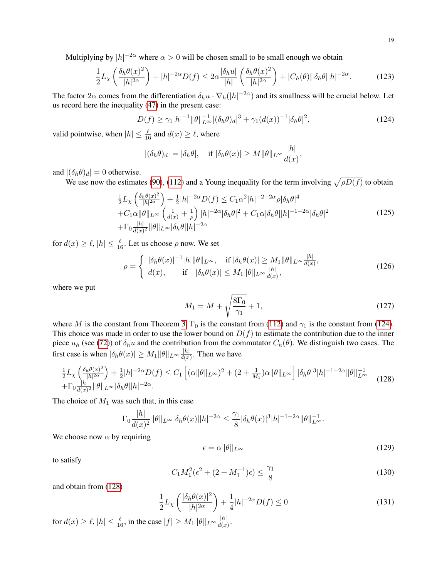Multiplying by  $|h|^{-2\alpha}$  where  $\alpha > 0$  will be chosen small to be small enough we obtain

$$
\frac{1}{2}L_{\chi}\left(\frac{\delta_h\theta(x)^2}{|h|^{2\alpha}}\right) + |h|^{-2\alpha}D(f) \le 2\alpha \frac{|\delta_h u|}{|h|}\left(\frac{\delta_h\theta(x)^2}{|h|^{2\alpha}}\right) + |C_h(\theta)||\delta_h\theta||h|^{-2\alpha}.\tag{123}
$$

The factor 2 $\alpha$  comes from the differentiation  $\delta_h u \cdot \nabla_h (|h|^{-2\alpha})$  and its smallness will be crucial below. Let us record here the inequality [\(47\)](#page-9-1) in the present case:

<span id="page-18-0"></span>
$$
D(f) \ge \gamma_1 |h|^{-1} \|\theta\|_{L^\infty}^{-1} |(\delta_h \theta)_d|^3 + \gamma_1 (d(x))^{-1} |\delta_h \theta|^2,
$$
\n(124)

valid pointwise, when  $|h| \leq \frac{\ell}{16}$  and  $d(x) \geq \ell$ , where

$$
|(\delta_h \theta)_d| = |\delta_h \theta|, \quad \text{if } |\delta_h \theta(x)| \ge M \|\theta\|_{L^\infty} \frac{|h|}{d(x)},
$$

and  $|(\delta_h \theta)_d| = 0$  otherwise.

We use now the estimates [\(90\)](#page-15-0), [\(112\)](#page-16-1) and a Young inequality for the term involving  $\sqrt{\rho D(f)}$  to obtain

<span id="page-18-2"></span>
$$
\frac{1}{2}L_{\chi}\left(\frac{\delta_{h}\theta(x)^{2}}{|h|^{2\alpha}}\right) + \frac{1}{2}|h|^{-2\alpha}D(f) \leq C_{1}\alpha^{2}|h|^{-2-2\alpha}\rho|\delta_{h}\theta|^{4}
$$
\n
$$
+C_{1}\alpha\|\theta\|_{L^{\infty}}\left(\frac{1}{d(x)} + \frac{1}{\rho}\right)|h|^{-2\alpha}|\delta_{h}\theta|^{2} + C_{1}\alpha|\delta_{h}\theta||h|^{-1-2\alpha}|\delta_{h}\theta|^{2}
$$
\n
$$
+ \Gamma_{0}\frac{|h|}{d(x)^{2}}\|\theta\|_{L^{\infty}}|\delta_{h}\theta||h|^{-2\alpha}
$$
\n(125)

for  $d(x) \ge \ell, |h| \le \frac{\ell}{16}$ . Let us choose  $\rho$  now. We set

$$
\rho = \begin{cases} |\delta_h \theta(x)|^{-1} |h| \|\theta\|_{L^\infty}, & \text{if } |\delta_h \theta(x)| \ge M_1 \|\theta\|_{L^\infty} \frac{|h|}{d(x)}, \\ d(x), & \text{if } |\delta_h \theta(x)| \le M_1 \|\theta\|_{L^\infty} \frac{|h|}{d(x)}, \end{cases}
$$
(126)

where we put

$$
M_1 = M + \sqrt{\frac{8\Gamma_0}{\gamma_1}} + 1,\tag{127}
$$

where M is the constant from Theorem [3,](#page-8-2)  $\Gamma_0$  is the constant from [\(112\)](#page-16-1) and  $\gamma_1$  is the constant from [\(124\)](#page-18-0). This choice was made in order to use the lower bound on  $D(f)$  to estimate the contribution due to the inner piece  $u_h$  (see [\(72\)](#page-12-0)) of  $\delta_h u$  and the contribution from the commutator  $C_h(\theta)$ . We distinguish two cases. The first case is when  $|\delta_h \theta(x)| \geq M_1 ||\theta||_{L^{\infty}} \frac{|h|}{d(x)}$  $\frac{|h|}{d(x)}$ . Then we have

<span id="page-18-1"></span>
$$
\frac{1}{2}L_{\chi}\left(\frac{\delta_h \theta(x)^2}{|h|^{2\alpha}}\right) + \frac{1}{2}|h|^{-2\alpha}D(f) \le C_1\left[ (\alpha\|\theta\|_{L^{\infty}})^2 + (2 + \frac{1}{M_1})\alpha\|\theta\|_{L^{\infty}} \right] |\delta_h \theta|^3 |h|^{-1-2\alpha} \|\theta\|_{L^{\infty}}^{-1} + \Gamma_0 \frac{|h|}{d(x)^2} \|\theta\|_{L^{\infty}} |\delta_h \theta| |h|^{-2\alpha}.
$$
\n(128)

The choice of  $M_1$  was such that, in this case

$$
\Gamma_0 \frac{|h|}{d(x)^2} \|\theta\|_{L^\infty} |\delta_h \theta(x)| |h|^{-2\alpha} \le \frac{\gamma_1}{8} |\delta_h \theta(x)|^3 |h|^{-1-2\alpha} \|\theta\|_{L^\infty}^{-1}.
$$

We choose now  $\alpha$  by requiring

$$
\epsilon = \alpha \|\theta\|_{L^{\infty}} \tag{129}
$$

to satisfy

<span id="page-18-4"></span>
$$
C_1 M_1^2(\epsilon^2 + (2 + M_1^{-1})\epsilon) \le \frac{\gamma_1}{8}
$$
\n(130)

and obtain from [\(128\)](#page-18-1)

<span id="page-18-3"></span>
$$
\frac{1}{2}L_{\chi}\left(\frac{|\delta_h\theta(x)|^2}{|h|^{2\alpha}}\right) + \frac{1}{4}|h|^{-2\alpha}D(f) \le 0\tag{131}
$$

for  $d(x) \ge \ell, |h| \le \frac{\ell}{16}$ , in the case  $|f| \ge M_1 ||\theta||_{L^{\infty}} \frac{|h|}{d(x)}$  $rac{|n|}{d(x)}$ .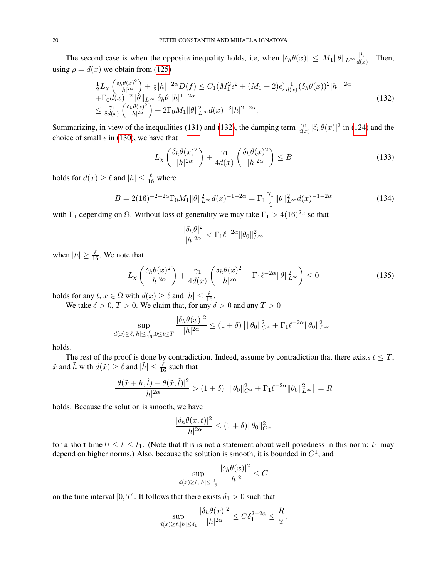The second case is when the opposite inequality holds, i.e, when  $|\delta_h \theta(x)| \leq M_1 ||\theta||_{L^{\infty}} \frac{|h|}{d(x)}$  $\frac{|h|}{d(x)}$ . Then, using  $\rho = d(x)$  we obtain from [\(125\)](#page-18-2)

<span id="page-19-0"></span>
$$
\frac{1}{2}L_{\chi}\left(\frac{\delta_{h}\theta(x)^{2}}{|h|^{2\alpha}}\right) + \frac{1}{2}|h|^{-2\alpha}D(f) \leq C_{1}(M_{1}^{2}\epsilon^{2} + (M_{1} + 2)\epsilon)\frac{1}{d(x)}(\delta_{h}\theta(x))^{2}|h|^{-2\alpha} \n+ \Gamma_{0}d(x)^{-2}||\theta||_{L^{\infty}}|\delta_{h}\theta||h|^{1-2\alpha} \n\leq \frac{\gamma_{1}}{8d(x)}\left(\frac{\delta_{h}\theta(x)^{2}}{|h|^{2\alpha}}\right) + 2\Gamma_{0}M_{1}||\theta||_{L^{\infty}}^{2}d(x)^{-3}|h|^{2-2\alpha}.
$$
\n(132)

Summarizing, in view of the inequalities [\(131\)](#page-18-3) and [\(132\)](#page-19-0), the damping term  $\frac{\gamma_1}{d(x)}|\delta_h\theta(x)|^2$  in [\(124\)](#page-18-0) and the choice of small  $\epsilon$  in [\(130\)](#page-18-4), we have that

$$
L_{\chi}\left(\frac{\delta_h \theta(x)^2}{|h|^{2\alpha}}\right) + \frac{\gamma_1}{4d(x)}\left(\frac{\delta_h \theta(x)^2}{|h|^{2\alpha}}\right) \le B\tag{133}
$$

holds for  $d(x) \ge \ell$  and  $|h| \le \frac{\ell}{16}$  where

$$
B = 2(16)^{-2+2\alpha} \Gamma_0 M_1 \|\theta\|_{L^\infty}^2 d(x)^{-1-2\alpha} = \Gamma_1 \frac{\gamma_1}{4} \|\theta\|_{L^\infty}^2 d(x)^{-1-2\alpha}
$$
 (134)

with  $\Gamma_1$  depending on  $\Omega$ . Without loss of generality we may take  $\Gamma_1 > 4(16)^{2\alpha}$  so that

$$
\frac{|\delta_h\theta|^2}{|h|^{2\alpha}}<\Gamma_1\ell^{-2\alpha}\|\theta_0\|_{L^\infty}^2
$$

when  $|h| \ge \frac{\ell}{16}$ . We note that

<span id="page-19-1"></span>
$$
L_{\chi}\left(\frac{\delta_h \theta(x)^2}{|h|^{2\alpha}}\right) + \frac{\gamma_1}{4d(x)} \left(\frac{\delta_h \theta(x)^2}{|h|^{2\alpha}} - \Gamma_1 \ell^{-2\alpha} \|\theta\|_{L^\infty}^2\right) \le 0 \tag{135}
$$

holds for any  $t, x \in \Omega$  with  $d(x) \ge \ell$  and  $|h| \le \frac{\ell}{16}$ .

We take  $\delta > 0$ ,  $T > 0$ . We claim that, for any  $\delta > 0$  and any  $T > 0$ 

$$
\sup_{d(x)\geq \ell, |h|\leq \frac{\ell}{16}, 0\leq t\leq T} \frac{|\delta_h\theta(x)|^2}{|h|^{2\alpha}}\leq (1+\delta)\left[\|\theta_0\|_{C^\alpha}^2+\Gamma_1\ell^{-2\alpha}\|\theta_0\|_{L^\infty}^2\right]
$$

holds.

The rest of the proof is done by contradiction. Indeed, assume by contradiction that there exists  $\tilde{t} \leq T$ ,  $\tilde{x}$  and  $\tilde{h}$  with  $d(\tilde{x}) \ge \ell$  and  $|\tilde{h}| \le \frac{\tilde{\ell}}{16}$  such that

$$
\frac{|\theta(\tilde{x}+\tilde{h},\tilde{t})-\theta(\tilde{x},\tilde{t})|^2}{|h|^{2\alpha}} > (1+\delta) \left[ \|\theta_0\|_{C^{\alpha}}^2 + \Gamma_1 \ell^{-2\alpha} \|\theta_0\|_{L^{\infty}}^2 \right] = R
$$

holds. Because the solution is smooth, we have

$$
\frac{|\delta_h \theta(x,t)|^2}{|h|^{2\alpha}} \le (1+\delta) \|\theta_0\|_{C^{\alpha}}^2
$$

for a short time  $0 \le t \le t_1$ . (Note that this is not a statement about well-posedness in this norm:  $t_1$  may depend on higher norms.) Also, because the solution is smooth, it is bounded in  $C^1$ , and

$$
\sup_{d(x)\geq \ell, |h|\leq \frac{\ell}{16}} \frac{|\delta_h \theta(x)|^2}{|h|^2} \leq C
$$

on the time interval [0, T]. It follows that there exists  $\delta_1 > 0$  such that

$$
\sup_{d(x)\geq \ell, |h|\leq \delta_1} \frac{|\delta_h \theta(x)|^2}{|h|^{2\alpha}} \leq C\delta_1^{2-2\alpha} \leq \frac{R}{2}.
$$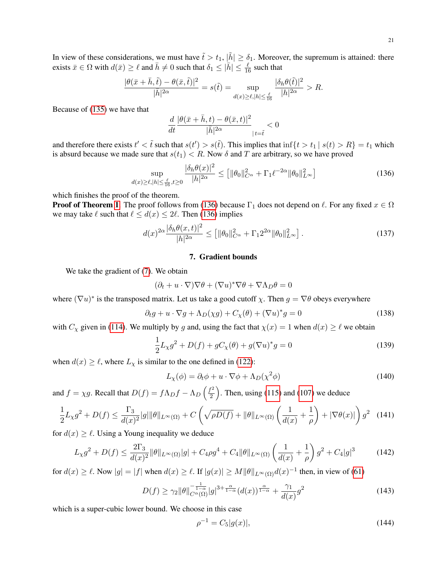In view of these considerations, we must have  $\tilde{t} > t_1$ ,  $|\tilde{h}| \ge \delta_1$ . Moreover, the supremum is attained: there exists  $\bar{x} \in \Omega$  with  $d(\bar{x}) \ge \ell$  and  $\bar{h} \ne 0$  such that  $\delta_1 \le |\bar{h}| \le \frac{\ell}{16}$  such that

$$
\frac{|\theta(\bar{x}+\bar{h},\tilde{t})-\theta(\bar{x},\tilde{t})|^2}{|\bar{h}|^{2\alpha}}=s(\tilde{t})=\sup_{d(x)\geq \ell, |h|\leq \frac{\ell}{16}}\frac{|\delta_h\theta(\tilde{t})|^2}{|h|^{2\alpha}}>R.
$$

Because of [\(135\)](#page-19-1) we have that

$$
\frac{d}{dt}\frac{|\theta(\bar{x}+\bar{h},t)-\theta(\bar{x},t)|^2}{|\bar{h}|^{2\alpha}}\Big|_{|t=\tilde{t}}<0
$$

and therefore there exists  $t' < \tilde{t}$  such that  $s(t') > s(\tilde{t})$ . This implies that  $\inf\{t > t_1 | s(t) > R\} = t_1$  which is absurd because we made sure that  $s(t_1) < R$ . Now  $\delta$  and T are arbitrary, so we have proved

<span id="page-20-0"></span>
$$
\sup_{d(x)\geq\ell,|h|\leq\frac{\ell}{16},t\geq 0}\frac{|\delta_h\theta(x)|^2}{|h|^{2\alpha}}\leq \left[\|\theta_0\|_{C^{\alpha}}^2+\Gamma_1\ell^{-2\alpha}\|\theta_0\|_{L^{\infty}}^2\right]
$$
(136)

which finishes the proof of the theorem.

**Proof of Theorem [1](#page-2-1).** The proof follows from [\(136\)](#page-20-0) because  $\Gamma_1$  does not depend on  $\ell$ . For any fixed  $x \in \Omega$ we may take  $\ell$  such that  $\ell \leq d(x) \leq 2\ell$ . Then [\(136\)](#page-20-0) implies

$$
d(x)^{2\alpha} \frac{|\delta_h \theta(x,t)|^2}{|h|^{2\alpha}} \le \left[ \|\theta_0\|_{C^{\alpha}}^2 + \Gamma_1 2^{2\alpha} \|\theta_0\|_{L^{\infty}}^2 \right].
$$
 (137)

## 7. Gradient bounds

We take the gradient of [\(7\)](#page-1-0). We obtain

$$
(\partial_t + u \cdot \nabla) \nabla \theta + (\nabla u)^* \nabla \theta + \nabla \Lambda_D \theta = 0
$$

where  $(\nabla u)^*$  is the transposed matrix. Let us take a good cutoff  $\chi$ . Then  $g = \nabla \theta$  obeys everywhere

$$
\partial_t g + u \cdot \nabla g + \Lambda_D(\chi g) + C_\chi(\theta) + (\nabla u)^* g = 0 \tag{138}
$$

with  $C_\chi$  given in [\(114\)](#page-17-2). We multiply by g and, using the fact that  $\chi(x) = 1$  when  $d(x) \ge \ell$  we obtain

$$
\frac{1}{2}L_{\chi}g^{2} + D(f) + gC_{\chi}(\theta) + g(\nabla u)^{*}g = 0
$$
\n(139)

when  $d(x) \ge \ell$ , where  $L_{\chi}$  is similar to the one defined in [\(122\)](#page-17-3):

$$
L_{\chi}(\phi) = \partial_t \phi + u \cdot \nabla \phi + \Lambda_D(\chi^2 \phi)
$$
 (140)

and  $f = \chi g$ . Recall that  $D(f) = f \Lambda_D f - \Lambda_D \left(\frac{f^2}{2}\right)$  $\left(\frac{f^2}{2}\right)$ . Then, using [\(115\)](#page-17-0) and [\(107\)](#page-16-0) we deduce

$$
\frac{1}{2}L_{\chi}g^{2} + D(f) \le \frac{\Gamma_{3}}{d(x)^{2}}|g|\|\theta\|_{L^{\infty}(\Omega)} + C\left(\sqrt{\rho D(f)} + \|\theta\|_{L^{\infty}(\Omega)}\left(\frac{1}{d(x)} + \frac{1}{\rho}\right) + |\nabla\theta(x)|\right)g^{2} \tag{141}
$$

for  $d(x) \geq \ell$ . Using a Young inequality we deduce

<span id="page-20-1"></span>
$$
L_{\chi}g^{2} + D(f) \le \frac{2\Gamma_{3}}{d(x)^{2}}\|\theta\|_{L^{\infty}(\Omega)}|g| + C_{4}\rho g^{4} + C_{4}\|\theta\|_{L^{\infty}(\Omega)}\left(\frac{1}{d(x)} + \frac{1}{\rho}\right)g^{2} + C_{4}|g|^{3}
$$
(142)

for  $d(x) \ge \ell$ . Now  $|g| = |f|$  when  $d(x) \ge \ell$ . If  $|g(x)| \ge M \|\theta\|_{L^{\infty}(\Omega)} d(x)^{-1}$  then, in view of [\(61\)](#page-11-0)

<span id="page-20-2"></span>
$$
D(f) \ge \gamma_2 \|\theta\|_{C^{\alpha}(\Omega)}^{-\frac{1}{1-\alpha}}|g|^{3+\frac{\alpha}{1-\alpha}} (d(x))^{\frac{\alpha}{1-\alpha}} + \frac{\gamma_1}{d(x)} g^2 \tag{143}
$$

which is a super-cubic lower bound. We choose in this case

$$
\rho^{-1} = C_5|g(x)|,\tag{144}
$$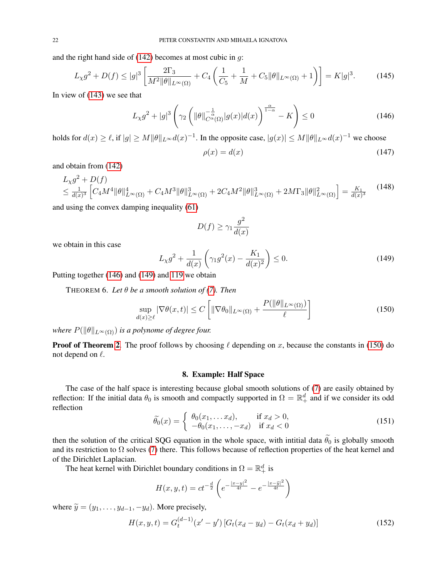and the right hand side of  $(142)$  becomes at most cubic in q:

$$
L_{\chi}g^{2} + D(f) \le |g|^{3} \left[ \frac{2\Gamma_{3}}{M^{2} \|\theta\|_{L^{\infty}(\Omega)}} + C_{4} \left( \frac{1}{C_{5}} + \frac{1}{M} + C_{5} \|\theta\|_{L^{\infty}(\Omega)} + 1 \right) \right] = K|g|^{3}.
$$
 (145)

In view of [\(143\)](#page-20-2) we see that

<span id="page-21-0"></span>
$$
L_{\chi}g^{2} + |g|^{3} \left(\gamma_{2} \left(\|\theta\|_{C^{\alpha}(\Omega)}^{-\frac{1}{\alpha}}|g(x)|d(x)\right)^{\frac{\alpha}{1-\alpha}} - K\right) \leq 0\tag{146}
$$

holds for  $d(x) \ge \ell$ , if  $|g| \ge M \|\theta\|_{L^\infty} d(x)^{-1}$ . In the opposite case,  $|g(x)| \le M \|\theta\|_{L^\infty} d(x)^{-1}$  we choose

$$
\rho(x) = d(x) \tag{147}
$$

and obtain from [\(142\)](#page-20-1)

$$
L_{\chi}g^{2} + D(f)
$$
  
\n
$$
\leq \frac{1}{d(x)^{3}} \left[ C_{4}M^{4} \|\theta\|_{L^{\infty}(\Omega)}^{4} + C_{4}M^{3} \|\theta\|_{L^{\infty}(\Omega)}^{3} + 2C_{4}M^{2} \|\theta\|_{L^{\infty}(\Omega)}^{3} + 2M\Gamma_{3} \|\theta\|_{L^{\infty}(\Omega)}^{2} \right] = \frac{K_{1}}{d(x)^{3}} \tag{148}
$$

and using the convex damping inequality [\(61\)](#page-11-0)

$$
D(f) \ge \gamma_1 \frac{g^2}{d(x)}
$$

we obtain in this case

<span id="page-21-1"></span>
$$
L_{\chi}g^{2} + \frac{1}{d(x)}\left(\gamma_{1}g^{2}(x) - \frac{K_{1}}{d(x)^{2}}\right) \leq 0.
$$
 (149)

Putting together [\(146\)](#page-21-0) and [\(149\)](#page-21-1) and [119](#page-17-4) we obtain

THEOREM 6. Let  $\theta$  be a smooth solution of [\(7\)](#page-1-0). Then

<span id="page-21-2"></span>
$$
\sup_{d(x)\geq \ell} |\nabla \theta(x,t)| \leq C \left[ \|\nabla \theta_0\|_{L^\infty(\Omega)} + \frac{P(\|\theta\|_{L^\infty(\Omega)})}{\ell} \right]
$$
(150)

*where*  $P(\|\theta\|_{L^{\infty}(\Omega)})$  *is a polynome of degree four.* 

**Proof of Theorem [2](#page-2-0).** The proof follows by choosing  $\ell$  depending on x, because the constants in [\(150\)](#page-21-2) do not depend on  $\ell$ .

### 8. Example: Half Space

The case of the half space is interesting because global smooth solutions of [\(7\)](#page-1-0) are easily obtained by reflection: If the initial data  $\theta_0$  is smooth and compactly supported in  $\Omega = \mathbb{R}^d_+$  and if we consider its odd reflection

$$
\widetilde{\theta_0}(x) = \begin{cases}\n\theta_0(x_1, \dots, x_d), & \text{if } x_d > 0, \\
-\theta_0(x_1, \dots, -x_d) & \text{if } x_d < 0\n\end{cases}
$$
\n(151)

then the solution of the critical SQG equation in the whole space, with intitial data  $\tilde{\theta}_0$  is globally smooth and its restriction to  $\Omega$  solves [\(7\)](#page-1-0) there. This follows because of reflection properties of the heat kernel and of the Dirichlet Laplacian.

The heat kernel with Dirichlet boundary conditions in  $\Omega = \mathbb{R}^d_+$  is

$$
H(x, y, t) = ct^{-\frac{d}{2}} \left( e^{-\frac{|x-y|^2}{4t}} - e^{-\frac{|x-\tilde{y}|^2}{4t}} \right)
$$

where  $\widetilde{y} = (y_1, \ldots, y_{d-1}, -y_d)$ . More precisely,

$$
H(x, y, t) = G_t^{(d-1)}(x' - y') [G_t(x_d - y_d) - G_t(x_d + y_d)]
$$
\n(152)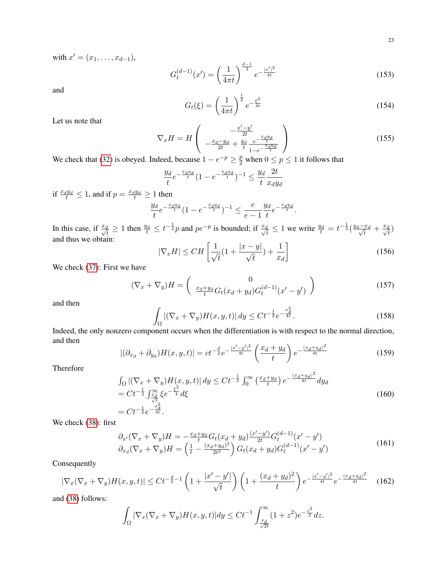with  $x' = (x_1, \ldots, x_{d-1}),$ 

$$
G_t^{(d-1)}(x') = \left(\frac{1}{4\pi t}\right)^{\frac{d-1}{2}} e^{-\frac{|x'|^2}{4t}}
$$
\n(153)

and

$$
G_t(\xi) = \left(\frac{1}{4\pi t}\right)^{\frac{1}{2}} e^{-\frac{\xi^2}{4t}}
$$
 (154)

Let us note that

$$
\nabla_x H = H \left( \begin{array}{c} -\frac{x'-y'}{2t} \\ -\frac{x_d-y_d}{2t} + \frac{y_d}{t} \frac{e^{-\frac{x_d y_d}{t}}}{1 - e^{-\frac{x_d y_d}{t}}} \end{array} \right)
$$
(155)

We check that [\(32\)](#page-5-2) is obeyed. Indeed, because  $1 - e^{-p} \ge \frac{p}{2}$  when  $0 \le p \le 1$  it follows that

$$
\frac{y_d}{t}e^{-\frac{x_dy_d}{t}}(1 - e^{-\frac{x_dy_d}{t}})^{-1} \le \frac{y_d}{t}\frac{2t}{x_dy_d}
$$

if  $\frac{x_{d}y_{d}}{t} \leq 1$ , and if  $p = \frac{x_{d}y_{d}}{t} \geq 1$  then

$$
\frac{y_d}{t}e^{-\frac{x_dy_d}{t}}(1-e^{-\frac{x_dy_d}{t}})^{-1} \le \frac{e}{e-1}\frac{y_d}{t}e^{-\frac{x_dy_d}{t}}.
$$

In this case, if  $\frac{x_d}{\sqrt{t}} \ge 1$  then  $\frac{y_d}{t} \le t^{-\frac{1}{2}}p$  and  $pe^{-p}$  is bounded; if  $\frac{x_d}{\sqrt{t}} \le 1$  we write  $\frac{y_d}{t} = t^{-\frac{1}{2}}(\frac{y_d - x_d}{\sqrt{t}})$  $\frac{x_d}{\overline{t}} + \frac{x_d}{\sqrt{t}}$ and thus we obtain:

$$
|\nabla_x H| \leq CH\left[\frac{1}{\sqrt{t}}(1 + \frac{|x - y|}{\sqrt{t}}) + \frac{1}{x_d}\right]
$$
\n(156)

We check [\(37\)](#page-5-0): First we have

$$
(\nabla_x + \nabla_y)H = \begin{pmatrix} 0 \\ \frac{x_d + y_d}{t} G_t (x_d + y_d) G_t^{(d-1)} (x' - y') \end{pmatrix}
$$
 (157)

and then

$$
\int_{\Omega} |(\nabla_x + \nabla_y)H(x, y, t)| dy \le Ct^{-\frac{1}{2}} e^{-\frac{x_d^2}{4t}}.
$$
\n(158)

Indeed, the only nonzero component occurs when the differentiation is with respect to the normal direction, and then

$$
|(\partial_{x_d} + \partial_{y_d})H(x, y, t)| = ct^{-\frac{d}{2}}e^{-\frac{|x'-y'|^2}{4t}} \left(\frac{x_d + y_d}{t}\right) e^{-\frac{(x_d + y_d)^2}{4t}} \tag{159}
$$

Therefore

$$
\int_{\Omega} |(\nabla_x + \nabla_y) H(x, y, t)| dy \leq Ct^{-\frac{1}{2}} \int_0^{\infty} \left(\frac{x_d + y_d}{t}\right) e^{-\frac{(x_d + y_d)^2}{4t}} dy_d
$$
\n
$$
= Ct^{-\frac{1}{2}} \int_{\frac{x_d}{\sqrt{t}}}^{\infty} \xi e^{-\frac{\xi^2}{4}} d\xi
$$
\n
$$
= Ct^{-\frac{1}{2}} e^{-\frac{x_d^2}{4t}}.
$$
\n(160)

We check [\(38\)](#page-5-1): first

$$
\partial_{x'}(\nabla_x + \nabla_y)H = -\frac{x_d + y_d}{t} G_t(x_d + y_d) \frac{(x'-y')}{2t} G_t^{(d-1)}(x'-y') \n\partial_{x_d}(\nabla_x + \nabla_y)H = \left(\frac{1}{t} - \frac{(x_d + y_d)^2}{2t^2}\right) G_t(x_d + y_d) G_t^{(d-1)}(x'-y') \tag{161}
$$

Consequently

$$
|\nabla_x(\nabla_x + \nabla_y)H(x, y, t)| \le Ct^{-\frac{d}{2}-1} \left(1 + \frac{|x' - y'|}{\sqrt{t}}\right) \left(1 + \frac{(x_d + y_d)^2}{t}\right) e^{-\frac{|x' - y'|^2}{4t}} e^{-\frac{(x_d + y_d)^2}{4t}} \tag{162}
$$

and [\(38\)](#page-5-1) follows:

$$
\int_{\Omega} |\nabla_x (\nabla_x + \nabla_y) H(x, y, t)| dy \leq C t^{-1} \int_{\frac{x_d}{\sqrt{2t}}}^{\infty} (1 + z^2) e^{-\frac{z^2}{2}} dz.
$$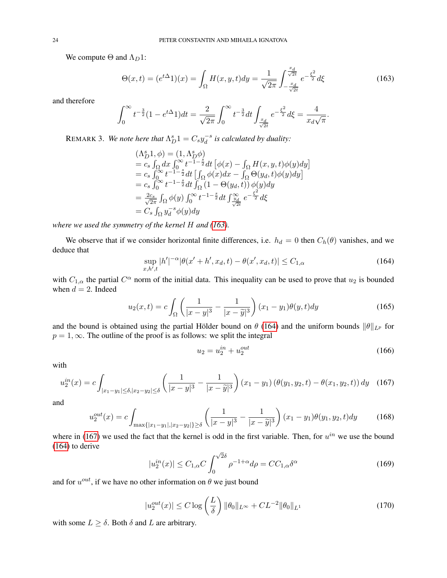We compute  $\Theta$  and  $\Lambda_D 1$ :

<span id="page-23-0"></span>
$$
\Theta(x,t) = (e^{t\Delta}1)(x) = \int_{\Omega} H(x,y,t)dy = \frac{1}{\sqrt{2\pi}} \int_{-\frac{x_d}{\sqrt{2t}}}^{\frac{x_d}{\sqrt{2t}}} e^{-\frac{\xi^2}{2}} d\xi
$$
(163)

and therefore

$$
\int_0^\infty t^{-\frac{3}{2}}(1 - e^{t\Delta} \Delta) dt = \frac{2}{\sqrt{2\pi}} \int_0^\infty t^{-\frac{3}{2}} dt \int_{\frac{x_d}{\sqrt{2t}}} e^{-\frac{\xi^2}{2}} d\xi = \frac{4}{x_d \sqrt{\pi}}.
$$

REMARK 3. We note here that  $\Lambda_D^s 1 = C_s y_d^{-s}$  $a<sup>s</sup>$  is calculated by duality:

$$
\begin{array}{l} \displaystyle{(\Lambda_D^s1,\phi)=(1,\Lambda_D^s\phi) \newline =c_s\int_\Omega dx\int_0^\infty t^{-1-\frac{s}{2}}dt\left[\phi(x)-\int_\Omega H(x,y,t)\phi(y)dy\right] \newline =c_s\int_0^\infty t^{-1-\frac{s}{2}}dt\left[\int_\Omega \phi(x)dx-\int_\Omega \Theta(y_d,t)\phi(y)dy\right] \newline =c_s\int_0^\infty t^{-1-\frac{s}{2}}dt\int_\Omega \left(1-\Theta(y_d,t)\right)\phi(y)dy \newline =\frac{2c_s}{\sqrt{2\pi}}\int_\Omega \phi(y)\int_0^\infty t^{-1-\frac{s}{2}}dt\int_{\frac{y_d}{\sqrt{2t}}}^\infty e^{-\frac{\xi^2}{2}}d\xi \newline =C_s\int_\Omega y_d^{-s}\phi(y)dy \end{array}
$$

*where we used the symmetry of the kernel* H *and [\(163\)](#page-23-0).*

We observe that if we consider horizontal finite differences, i.e.  $h_d = 0$  then  $C_h(\theta)$  vanishes, and we deduce that

<span id="page-23-1"></span>
$$
\sup_{x,h',t} |h'|^{-\alpha} |\theta(x'+h',x_d,t) - \theta(x',x_d,t)| \le C_{1,\alpha} \tag{164}
$$

with  $C_{1,\alpha}$  the partial  $C^{\alpha}$  norm of the initial data. This inequality can be used to prove that  $u_2$  is bounded when  $d = 2$ . Indeed

$$
u_2(x,t) = c \int_{\Omega} \left( \frac{1}{|x-y|^3} - \frac{1}{|x-\tilde{y}|^3} \right) (x_1 - y_1) \theta(y,t) dy \tag{165}
$$

and the bound is obtained using the partial Hölder bound on  $\theta$  [\(164\)](#page-23-1) and the uniform bounds  $\|\theta\|_{L^p}$  for  $p = 1, \infty$ . The outline of the proof is as follows: we split the integral

$$
u_2 = u_2^{in} + u_2^{out} \tag{166}
$$

with

<span id="page-23-2"></span>
$$
u_2^{in}(x) = c \int_{|x_1 - y_1| \le \delta, |x_2 - y_2| \le \delta} \left( \frac{1}{|x - y|^3} - \frac{1}{|x - \tilde{y}|^3} \right) (x_1 - y_1) \left( \theta(y_1, y_2, t) - \theta(x_1, y_2, t) \right) dy \tag{167}
$$

and

$$
u_2^{out}(x) = c \int_{\max\{|x_1 - y_1|, |x_2 - y_2|\} \ge \delta} \left( \frac{1}{|x - y|^3} - \frac{1}{|x - \tilde{y}|^3} \right) (x_1 - y_1) \theta(y_1, y_2, t) dy \tag{168}
$$

where in [\(167\)](#page-23-2) we used the fact that the kernel is odd in the first variable. Then, for  $u^{in}$  we use the bound [\(164\)](#page-23-1) to derive

$$
|u_2^{in}(x)| \le C_{1,\alpha} C \int_0^{\sqrt{2}\delta} \rho^{-1+\alpha} d\rho = C C_{1,\alpha} \delta^{\alpha}
$$
 (169)

and for  $u^{out}$ , if we have no other information on  $\theta$  we just bound

$$
|u_2^{out}(x)| \le C \log \left(\frac{L}{\delta}\right) \|\theta_0\|_{L^\infty} + CL^{-2} \|\theta_0\|_{L^1}
$$
 (170)

with some  $L \geq \delta$ . Both  $\delta$  and  $L$  are arbitrary.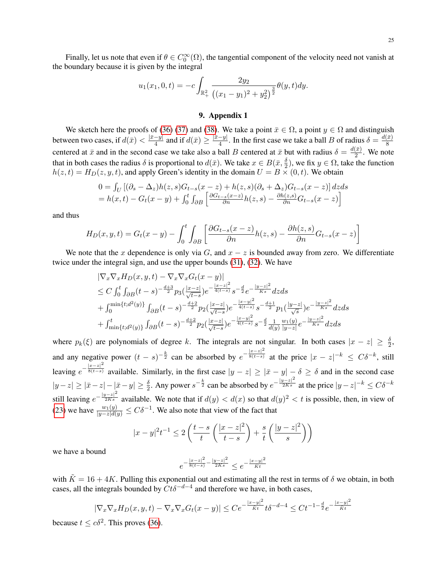25

Finally, let us note that even if  $\theta \in C_0^{\infty}(\Omega)$ , the tangential component of the velocity need not vanish at the boundary because it is given by the integral

$$
u_1(x_1, 0, t) = -c \int_{\mathbb{R}_+^2} \frac{2y_2}{\left( (x_1 - y_1)^2 + y_2^2 \right)^{\frac{3}{2}}} \theta(y, t) dy.
$$

## 9. Appendix 1

We sketch here the proofs of [\(36\)](#page-5-4) [\(37\)](#page-5-0) and [\(38\)](#page-5-1). We take a point  $\bar{x} \in \Omega$ , a point  $y \in \Omega$  and distinguish between two cases, if  $d(\bar{x}) < \frac{|\bar{x}-y|}{4}$  $\frac{-y|}{4}$  and if  $d(\bar{x}) \ge \frac{|\bar{x}-y|}{4}$  $\frac{-y|}{4}$ . In the first case we take a ball B of radius  $\delta = \frac{d(\bar{x})}{8}$ 8 centered at  $\bar{x}$  and in the second case we take also a ball B centered at  $\bar{x}$  but with radius  $\delta = \frac{d(\bar{x})}{2}$  $\frac{1}{2}$ . We note that in both cases the radius  $\delta$  is proportional to  $d(\bar{x})$ . We take  $x \in B(\bar{x}, \frac{\delta}{2})$ , we fix  $y \in \Omega$ , take the function  $h(z,t) = H_D(z, y, t)$ , and apply Green's identity in the domain  $U = B \times (0, t)$ . We obtain

$$
0 = \int_U \left[ (\partial_s - \Delta_z) h(z, s) G_{t-s}(x - z) + h(z, s) (\partial_s + \Delta_z) G_{t-s}(x - z) \right] dz ds
$$
  
=  $h(x, t) - G_t(x - y) + \int_0^t \int_{\partial B} \left[ \frac{\partial G_{t-s}(x - z)}{\partial n} h(z, s) - \frac{\partial h(z, s)}{\partial n} G_{t-s}(x - z) \right]$ 

and thus

$$
H_D(x, y, t) = G_t(x - y) - \int_0^t \int_{\partial B} \left[ \frac{\partial G_{t-s}(x - z)}{\partial n} h(z, s) - \frac{\partial h(z, s)}{\partial n} G_{t-s}(x - z) \right]
$$

We note that the x dependence is only via G, and  $x - z$  is bounded away from zero. We differentiate twice under the integral sign, and use the upper bounds [\(31\)](#page-5-3), [\(32\)](#page-5-2). We have

$$
\begin{split} &|\nabla_x \nabla_x H_D(x, y, t) - \nabla_x \nabla_x G_t(x - y)| \\ &\leq C \int_0^t \int_{\partial B} (t - s)^{-\frac{d+3}{2}} p_3(\frac{|x - z|}{\sqrt{t - s}}) e^{-\frac{|x - z|^2}{4(t - s)}} s^{-\frac{d}{2}} e^{-\frac{|y - z|^2}{Ks}} dz ds \\ &+ \int_0^{\min\{t; d^2(y)\}} \int_{\partial B} (t - s)^{-\frac{d+2}{2}} p_2(\frac{|x - z|}{\sqrt{t - s}}) e^{-\frac{|x - y|^2}{4(t - s)}} s^{-\frac{d+1}{2}} p_1(\frac{|y - z|}{\sqrt{s}}) e^{-\frac{|y - z|^2}{Ks}} dz ds \\ &+ \int_{\min\{t; d^2(y)\}}^t \int_{\partial B} (t - s)^{-\frac{d+2}{2}} p_2(\frac{|x - z|}{\sqrt{t - s}}) e^{-\frac{|x - y|^2}{4(t - s)}} s^{-\frac{d}{2}} \frac{1}{d(y)} \frac{w_1(y)}{|y - z|} e^{-\frac{|y - z|^2}{Ks}} dz ds \end{split}
$$

where  $p_k(\xi)$  are polynomials of degree k. The integrals are not singular. In both cases  $|x - z| \ge \frac{\delta}{2}$ , and any negative power  $(t - s)^{-\frac{k}{2}}$  can be absorbed by  $e^{-\frac{|x-z|^2}{8(t-s)}}$  $\frac{z}{8(t-s)}$  at the price  $|x-z|^{-k} \leq C\delta^{-k}$ , still leaving  $e^{-\frac{|x-z|^2}{8(t-s)}}$  $\frac{\delta(t-s)}{\delta(t-s)}$  available. Similarly, in the first case  $|y - z| \ge |\bar{x} - y| - \delta \ge \delta$  and in the second case  $|y-z|\geq |\bar{x}-z| - |\bar{x}-y| \geq \frac{\delta}{2}$ . Any power  $s^{-\frac{k}{2}}$  can be absorbed by  $e^{-\frac{|y-z|^2}{2Ks}}$  at the price  $|y-z|^{-k} \leq C\delta^{-k}$ still leaving  $e^{-\frac{|y-z|^2}{2Ks}}$  available. We note that if  $d(y) < d(x)$  so that  $d(y)^2 < t$  is possible, then, in view of [\(23\)](#page-4-0) we have  $\frac{w_1(y)}{|y-z|d(y)} \leq C\delta^{-1}$ . We also note that view of the fact that

$$
|x-y|^2t^{-1} \le 2\left(\frac{t-s}{t}\left(\frac{|x-z|^2}{t-s}\right) + \frac{s}{t}\left(\frac{|y-z|^2}{s}\right)\right)
$$

we have a bound

$$
e^{-\frac{|x-z|^2}{8(t-s)}-\frac{|y-z|^2}{2Ks}} \leq e^{-\frac{|x-y|^2}{\tilde{K}t}}
$$

with  $\tilde{K} = 16 + 4K$ . Pulling this exponential out and estimating all the rest in terms of  $\delta$  we obtain, in both cases, all the integrals bounded by  $C t \delta^{-d-4}$  and therefore we have, in both cases,

$$
|\nabla_x \nabla_x H_D(x, y, t) - \nabla_x \nabla_x G_t(x - y)| \leq C e^{-\frac{|x - y|^2}{\tilde{K}t}} t \delta^{-d-4} \leq Ct^{-1 - \frac{d}{2}} e^{-\frac{|x - y|^2}{\tilde{K}t}}
$$

because  $t \leq c\delta^2$ . This proves [\(36\)](#page-5-4).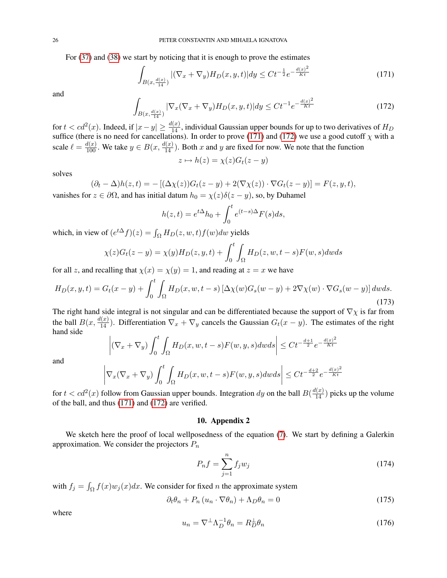For [\(37\)](#page-5-0) and [\(38\)](#page-5-1) we start by noticing that it is enough to prove the estimates

<span id="page-25-0"></span>
$$
\int_{B(x,\frac{d(x)}{14})} |(\nabla_x + \nabla_y)H_D(x,y,t)| dy \le Ct^{-\frac{1}{2}} e^{-\frac{d(x)^2}{Kt}} \tag{171}
$$

and

<span id="page-25-1"></span>
$$
\int_{B(x,\frac{d(x)}{14})} |\nabla_x (\nabla_x + \nabla_y) H_D(x,y,t)| dy \le Ct^{-1} e^{-\frac{d(x)^2}{Kt}} \tag{172}
$$

for  $t < cd^2(x)$ . Indeed, if  $|x-y| \ge \frac{d(x)}{14}$ , individual Gaussian upper bounds for up to two derivatives of  $H_D$ suffice (there is no need for cancellations). In order to prove [\(171\)](#page-25-0) and [\(172\)](#page-25-1) we use a good cutoff  $\chi$  with a scale  $\ell = \frac{d(x)}{100}$ . We take  $y \in B(x, \frac{d(x)}{14})$ . Both x and y are fixed for now. We note that the function

$$
z \mapsto h(z) = \chi(z)G_t(z - y)
$$

solves

$$
(\partial_t - \Delta)h(z, t) = -[(\Delta \chi(z))G_t(z - y) + 2(\nabla \chi(z)) \cdot \nabla G_t(z - y)] = F(z, y, t),
$$
  
  $\mathbf{r} \in \partial\Omega$  and has initial detum  $h = \chi(z)\delta(z - y)$ , so by Duhemal

vanishes for  $z \in \partial\Omega$ , and has initial datum  $h_0 = \chi(z)\delta(z - y)$ , so, by Duhamel

$$
h(z,t) = e^{t\Delta}h_0 + \int_0^t e^{(t-s)\Delta}F(s)ds,
$$

which, in view of  $(e^{t\Delta}f)(z) = \int_{\Omega} H_D(z, w, t)f(w)dw$  yields

$$
\chi(z)G_t(z-y) = \chi(y)H_D(z,y,t) + \int_0^t \int_{\Omega} H_D(z,w,t-s)F(w,s)dwds
$$

for all z, and recalling that  $\chi(x) = \chi(y) = 1$ , and reading at  $z = x$  we have

$$
H_D(x, y, t) = G_t(x - y) + \int_0^t \int_{\Omega} H_D(x, w, t - s) \left[ \Delta \chi(w) G_s(w - y) + 2 \nabla \chi(w) \cdot \nabla G_s(w - y) \right] dw ds. \tag{173}
$$

The right hand side integral is not singular and can be differentiated because the support of  $\nabla \chi$  is far from the ball  $B(x, \frac{d(x)}{14})$ . Differentiation  $\nabla_x + \nabla_y$  cancels the Gaussian  $G_t(x - y)$ . The estimates of the right hand side  $\overline{\phantom{a}}$ 

$$
\left| \left( \nabla_x + \nabla_y \right) \int_0^t \int_{\Omega} H_D(x, w, t - s) F(w, y, s) dw ds \right| \leq C t^{-\frac{d+1}{2}} e^{-\frac{d(x)^2}{Kt}}
$$

and

$$
\left|\nabla_x(\nabla_x + \nabla_y) \int_0^t \int_{\Omega} H_D(x, w, t-s) F(w, y, s) dw ds \right| \leq Ct^{-\frac{d+2}{2}} e^{-\frac{d(x)^2}{Kt}}
$$

for  $t < cd^2(x)$  follow from Gaussian upper bounds. Integration dy on the ball  $B(\frac{d(x)}{14})$  picks up the volume of the ball, and thus [\(171\)](#page-25-0) and [\(172\)](#page-25-1) are verified.

### 10. Appendix 2

We sketch here the proof of local wellposedness of the equation [\(7\)](#page-1-0). We start by defining a Galerkin approximation. We consider the projectors  $P_n$ 

$$
P_n f = \sum_{j=1}^n f_j w_j \tag{174}
$$

with  $f_j = \int_{\Omega} f(x)w_j(x)dx$ . We consider for fixed *n* the approximate system

<span id="page-25-2"></span>
$$
\partial_t \theta_n + P_n \left( u_n \cdot \nabla \theta_n \right) + \Lambda_D \theta_n = 0 \tag{175}
$$

where

$$
u_n = \nabla^{\perp} \Lambda_D^{-1} \theta_n = R_D^{\perp} \theta_n \tag{176}
$$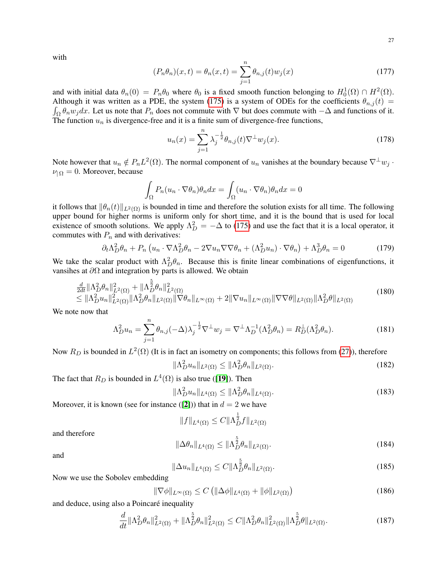with

$$
(P_n \theta_n)(x, t) = \theta_n(x, t) = \sum_{j=1}^n \theta_{n,j}(t) w_j(x)
$$
\n(177)

and with initial data  $\theta_n(0) = P_n \theta_0$  where  $\theta_0$  is a fixed smooth function belonging to  $H_0^1(\Omega) \cap H^2(\Omega)$ . Although it was written as a PDE, the system [\(175\)](#page-25-2) is a system of ODEs for the coefficients  $\theta_{n,j}(t)$  =  $\int_{\Omega} \theta_n w_j dx$ . Let us note that  $P_n$  does not commute with  $\nabla$  but does commute with  $-\Delta$  and functions of it. The function  $u_n$  is divergence-free and it is a finite sum of divergence-free functions,

$$
u_n(x) = \sum_{j=1}^n \lambda_j^{-\frac{1}{2}} \theta_{n,j}(t) \nabla^{\perp} w_j(x).
$$
 (178)

Note however that  $u_n \notin P_nL^2(\Omega)$ . The normal component of  $u_n$  vanishes at the boundary because  $\nabla^{\perp}w_j$ .  $\nu_{\Omega} = 0$ . Moreover, because

$$
\int_{\Omega} P_n(u_n \cdot \nabla \theta_n) \theta_n dx = \int_{\Omega} (u_n \cdot \nabla \theta_n) \theta_n dx = 0
$$

it follows that  $\|\theta_n(t)\|_{L^2(\Omega)}$  is bounded in time and therefore the solution exists for all time. The following upper bound for higher norms is uniform only for short time, and it is the bound that is used for local existence of smooth solutions. We apply  $\Lambda_D^2 = -\Delta$  to [\(175\)](#page-25-2) and use the fact that it is a local operator, it commutes with  $P_n$  and with derivatives:

$$
\partial_t \Lambda_D^2 \theta_n + P_n \left( u_n \cdot \nabla \Lambda_D^2 \theta_n - 2 \nabla u_n \nabla \nabla \theta_n + (\Lambda_D^2 u_n) \cdot \nabla \theta_n \right) + \Lambda_D^3 \theta_n = 0 \tag{179}
$$

We take the scalar product with  $\Lambda_D^2 \theta_n$ . Because this is finite linear combinations of eigenfunctions, it vansihes at ∂Ω and integration by parts is allowed. We obtain

$$
\frac{d}{2dt} \|\Lambda_D^2 \theta_n\|_{L^2(\Omega)}^2 + \|\Lambda_D^{\frac{5}{2}} \theta_n\|_{L^2(\Omega)}^2 \leq \|\Lambda_D^2 u_n\|_{L^2(\Omega)}^2 \|\Lambda_D^2 \theta_n\|_{L^2(\Omega)} \|\nabla \theta_n\|_{L^\infty(\Omega)} + 2 \|\nabla u_n\|_{L^\infty(\Omega)} \|\nabla \nabla \theta\|_{L^2(\Omega)} \|\Lambda_D^2 \theta\|_{L^2(\Omega)}
$$
\n(180)

We note now that

$$
\Lambda_D^2 u_n = \sum_{j=1}^n \theta_{n,j} (-\Delta) \lambda_j^{-\frac{1}{2}} \nabla^{\perp} w_j = \nabla^{\perp} \Lambda_D^{-1} (\Lambda_D^2 \theta_n) = R_D^{\perp} (\Lambda_D^2 \theta_n). \tag{181}
$$

Now  $R_D$  is bounded in  $L^2(\Omega)$  (It is in fact an isometry on components; this follows from [\(27\)](#page-4-1)), therefore

$$
\|\Lambda_D^2 u_n\|_{L^2(\Omega)} \le \|\Lambda_D^2 \theta_n\|_{L^2(\Omega)}.
$$
\n(182)

The fact that  $R_D$  is bounded in  $L^4(\Omega)$  is also true ([[19](#page-27-19)]). Then

$$
\|\Lambda_D^2 u_n\|_{L^4(\Omega)} \le \|\Lambda_D^2 \theta_n\|_{L^4(\Omega)}.
$$
\n(183)

Moreover, it is known (see for instance ([[2](#page-27-20)])) that in  $d = 2$  we have

 $||f||_{L^4(\Omega)} \leq C ||\Lambda_D^{\frac{1}{2}} f||_{L^2(\Omega)}$ 

and therefore

$$
\|\Delta\theta_n\|_{L^4(\Omega)} \le \|\Lambda_D^{\frac{5}{2}}\theta_n\|_{L^2(\Omega)}.
$$
\n(184)

and

$$
\|\Delta u_n\|_{L^4(\Omega)} \le C \|\Lambda_D^{\frac{5}{2}} \theta_n\|_{L^2(\Omega)}.
$$
\n(185)

Now we use the Sobolev embedding

$$
\|\nabla\phi\|_{L^{\infty}(\Omega)} \le C \left( \|\Delta\phi\|_{L^{4}(\Omega)} + \|\phi\|_{L^{2}(\Omega)} \right) \tag{186}
$$

and deduce, using also a Poincaré inequality

$$
\frac{d}{dt} \|\Lambda_D^2 \theta_n\|_{L^2(\Omega)}^2 + \|\Lambda_D^{\frac{5}{2}} \theta_n\|_{L^2(\Omega)}^2 \le C \|\Lambda_D^2 \theta_n\|_{L^2(\Omega)}^2 \|\Lambda_D^{\frac{5}{2}} \theta\|_{L^2(\Omega)}.
$$
\n(187)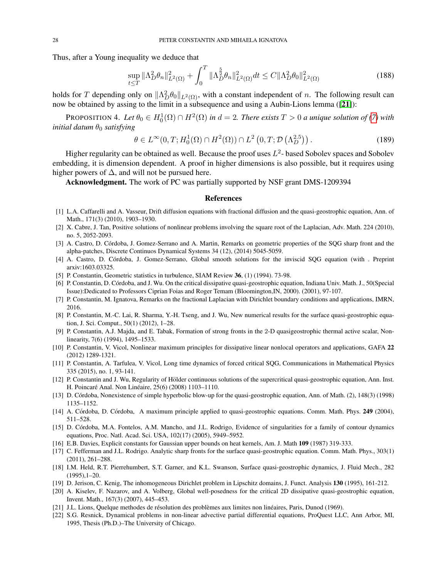Thus, after a Young inequality we deduce that

$$
\sup_{t \le T} \|\Lambda_D^2 \theta_n\|_{L^2(\Omega)}^2 + \int_0^T \|\Lambda_D^{\frac{5}{2}} \theta_n\|_{L^2(\Omega)}^2 dt \le C \|\Lambda_D^2 \theta_0\|_{L^2(\Omega)}^2 \tag{188}
$$

holds for T depending only on  $\|\Lambda_D^2 \theta_0\|_{L^2(\Omega)}$ , with a constant independent of n. The following result can now be obtained by assing to the limit in a subsequence and using a Aubin-Lions lemma ([[21](#page-27-21)]):

**PROPOSITION 4.** Let  $\theta_0 \in H_0^1(\Omega) \cap H^2(\Omega)$  in  $d = 2$ . There exists  $T > 0$  a unique solution of [\(7\)](#page-1-0) with *initial datum*  $\theta_0$  *satisfying* 

$$
\theta \in L^{\infty}(0, T; H_0^1(\Omega) \cap H^2(\Omega)) \cap L^2\left(0, T; \mathcal{D}\left(\Lambda_D^{2.5}\right)\right). \tag{189}
$$

Higher regularity can be obtained as well. Because the proof uses  $L^2$ -based Sobolev spaces and Sobolev embedding, it is dimension dependent. A proof in higher dimensions is also possible, but it requires using higher powers of  $\Delta$ , and will not be pursued here.

Acknowledgment. The work of PC was partially supported by NSF grant DMS-1209394

#### References

- <span id="page-27-11"></span>[1] L.A. Caffarelli and A. Vasseur, Drift diffusion equations with fractional diffusion and the quasi-geostrophic equation, Ann. of Math., 171(3) (2010), 1903–1930.
- <span id="page-27-20"></span>[2] X. Cabre, J. Tan, Positive solutions of nonlinear problems involving the square root of the Laplacian, Adv. Math. 224 (2010), no. 5, 2052-2093.
- <span id="page-27-7"></span>[3] A. Castro, D. Córdoba, J. Gomez-Serrano and A. Martin, Remarks on geometric properties of the SQG sharp front and the alpha-patches, Discrete Continuos Dynamical Systems 34 (12), (2014) 5045-5059.
- <span id="page-27-5"></span>[4] A. Castro, D. Córdoba, J. Gomez-Serrano, Global smooth solutions for the inviscid SQG equation (with . Preprint arxiv:1603.03325.
- <span id="page-27-1"></span>[5] P. Constantin, Geometric statistics in turbulence, SIAM Review 36, (1) (1994). 73-98.
- <span id="page-27-10"></span>[6] P. Constantin, D. Córdoba, and J. Wu. On the critical dissipative quasi-geostrophic equation, Indiana Univ. Math. J., 50(Special Issue):Dedicated to Professors Ciprian Foias and Roger Temam (Bloomington,IN, 2000). (2001), 97-107.
- <span id="page-27-17"></span>[7] P. Constantin, M. Ignatova, Remarks on the fractional Laplacian with Dirichlet boundary conditions and applications, IMRN, 2016.
- <span id="page-27-4"></span>[8] P. Constantin, M.-C. Lai, R. Sharma, Y.-H. Tseng, and J. Wu, New numerical results for the surface quasi-geostrophic equation, J. Sci. Comput., 50(1) (2012), 1–28.
- <span id="page-27-2"></span>[9] P. Constantin, A.J. Majda, and E. Tabak, Formation of strong fronts in the 2-D quasigeostrophic thermal active scalar, Nonlinearity, 7(6) (1994), 1495–1533.
- <span id="page-27-14"></span>[10] P. Constantin, V. Vicol, Nonlinear maximum principles for dissipative linear nonlocal operators and applications, GAFA 22 (2012) 1289-1321.
- <span id="page-27-13"></span>[11] P. Constantin, A. Tarfulea, V. Vicol, Long time dynamics of forced critical SQG, Communications in Mathematical Physics 335 (2015), no. 1, 93-141.
- <span id="page-27-16"></span>[12] P. Constantin and J. Wu, Regularity of Hölder continuous solutions of the supercritical quasi-geostrophic equation, Ann. Inst. H. Poincaré Anal. Non Linéaire, 25(6) (2008) 1103–1110.
- <span id="page-27-3"></span>[13] D. Córdoba, Nonexistence of simple hyperbolic blow-up for the quasi-geostrophic equation, Ann. of Math. (2), 148(3) (1998) 1135–1152.
- <span id="page-27-15"></span>[14] A. Córdoba, D. Córdoba, A maximum principle applied to quasi-geostrophic equations. Comm. Math. Phys. 249 (2004), 511–528.
- <span id="page-27-8"></span>[15] D. Córdoba, M.A. Fontelos, A.M. Mancho, and J.L. Rodrigo, Evidence of singularities for a family of contour dynamics equations, Proc. Natl. Acad. Sci. USA, 102(17) (2005), 5949–5952.
- <span id="page-27-18"></span>[16] E.B. Davies, Explicit constants for Gaussian upper bounds on heat kernels, Am. J. Math 109 (1987) 319-333.
- <span id="page-27-6"></span>[17] C. Fefferman and J.L. Rodrigo. Analytic sharp fronts for the surface quasi-geostrophic equation. Comm. Math. Phys., 303(1) (2011), 261–288.
- <span id="page-27-0"></span>[18] I.M. Held, R.T. Pierrehumbert, S.T. Garner, and K.L. Swanson, Surface quasi-geostrophic dynamics, J. Fluid Mech., 282 (1995),1–20.
- <span id="page-27-19"></span>[19] D. Jerison, C. Kenig, The inhomogeneous Dirichlet problem in Lipschitz domains, J. Funct. Analysis 130 (1995), 161-212.
- <span id="page-27-12"></span>[20] A. Kiselev, F. Nazarov, and A. Volberg, Global well-posedness for the critical 2D dissipative quasi-geostrophic equation, Invent. Math., 167(3) (2007), 445–453.
- <span id="page-27-21"></span>[21] J.L. Lions, Quelque methodes de résolution des problèmes aux limites non linéaires, Paris, Dunod (1969).
- <span id="page-27-9"></span>[22] S.G. Resnick, Dynamical problems in non-linear advective partial differential equations, ProQuest LLC, Ann Arbor, MI, 1995, Thesis (Ph.D.)–The University of Chicago.